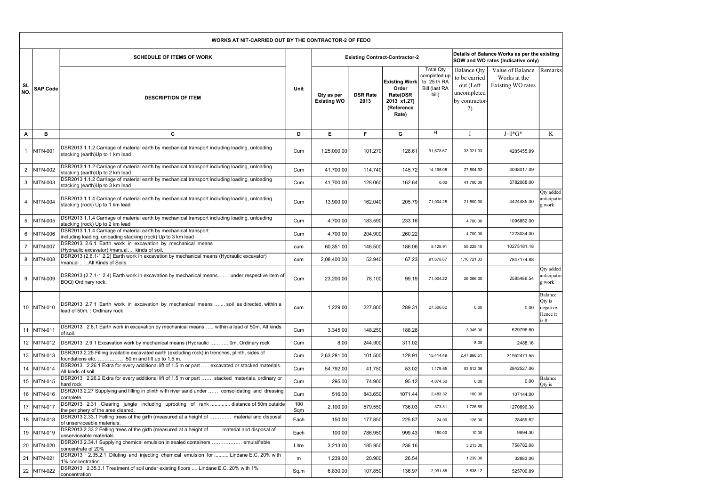|                  |                 | <b>WORKS AT NIT-CARRIED OUT BY THE CONTRACTOR-2 OF FEDO</b>                                                                                   |            |                                  |                         |                                                                                 |                                                                           |                                                                                         |                                                                                    |                                                    |
|------------------|-----------------|-----------------------------------------------------------------------------------------------------------------------------------------------|------------|----------------------------------|-------------------------|---------------------------------------------------------------------------------|---------------------------------------------------------------------------|-----------------------------------------------------------------------------------------|------------------------------------------------------------------------------------|----------------------------------------------------|
|                  |                 | <b>SCHEDULE OF ITEMS OF WORK</b>                                                                                                              |            |                                  |                         | <b>Existing Contract-Contractor-2</b>                                           |                                                                           |                                                                                         | Details of Balance Works as per the existing<br>SOW and WO rates (Indicative only) |                                                    |
| <b>SL</b><br>NO. | <b>SAP Code</b> | <b>DESCRIPTION OF ITEM</b>                                                                                                                    | Unit       | Qty as per<br><b>Existing WO</b> | <b>DSR Rate</b><br>2013 | <b>Existing Work</b><br>Order<br>Rate(DSR<br>2013 x1.27)<br>(Reference<br>Rate) | <b>Total Qty</b><br>completed up<br>to 25 th RA<br>Bill (last RA<br>bill) | <b>Balance Qty</b><br>to be carried<br>out (Left<br>uncompleted<br>by contractor-<br>2) | Value of Balance<br>Works at the<br>Existing WO rates                              | Remarks                                            |
| A                | B               | C                                                                                                                                             | D          | E                                | F.                      | G                                                                               | H                                                                         |                                                                                         | $J=I*G*$                                                                           | K                                                  |
|                  | NITN-001        | DSR2013 1.1.2 Carriage of material earth by mechanical transport including loading, unloading<br>stacking (earth)Up to 1 km lead              | Cum        | 1,25,000.00                      | 101.270                 | 128.61                                                                          | 91,678.67                                                                 | 33,321.33                                                                               | 4285455.99                                                                         |                                                    |
| $\overline{2}$   | NITN-002        | DSR2013 1.1.2 Carriage of material earth by mechanical transport including loading, unloading<br>stacking (earth)Up to 2 km lead              | Cum        | 41,700.00                        | 114.740                 | 145.72                                                                          | 14,195.08                                                                 | 27,504.92                                                                               | 4008017.09                                                                         |                                                    |
| 3                | NITN-003        | DSR2013 1.1.2 Carriage of material earth by mechanical transport including loading, unloading<br>stacking (earth)Up to 3 km lead              | Cum        | 41,700.00                        | 128.060                 | 162.64                                                                          | 0.00                                                                      | 41,700.00                                                                               | 6782088.00                                                                         |                                                    |
|                  | <b>NITN-004</b> | DSR2013 1.1.4 Carriage of material earth by mechanical transport including loading, unloading<br>stacking (rock) Up to 1 km lead              | Cum        | 13,900.00                        | 162.040                 | 205.79                                                                          | 71,004.25                                                                 | 21,500.00                                                                               | 4424485.00                                                                         | Qty added<br>anticipatin<br>g work                 |
| $5\phantom{.0}$  | NITN-005        | DSR2013 1.1.4 Carriage of material earth by mechanical transport including loading, unloading<br>stacking (rock) Up to 2 km lead              | Cum        | 4,700.00                         | 183.590                 | 233.16                                                                          |                                                                           | 4,700.00                                                                                | 1095852.00                                                                         |                                                    |
| 6                | NITN-006        | DSR2013 1.1.4 Carriage of material earth by mechanical transport<br>including loading, unloading stacking (rock) Up to 3 km lead              | Cum        | 4,700.00                         | 204.900                 | 260.22                                                                          |                                                                           | 4,700.00                                                                                | 1223034.00                                                                         |                                                    |
| $\overline{7}$   | NITN-007        | DSR2013 2.6.1 Earth work in excavation by mechanical means<br>(Hydraulic excavator) /manual kinds of soil.                                    | cum        | 60,351.00                        | 146.500                 | 186.06                                                                          | 5,125.91                                                                  | 55,225.10                                                                               | 10275181.18                                                                        |                                                    |
| 8                | NITN-008        | DSR2013 (2.6.1-1.2.2) Earth work in excavation by mechanical means (Hydraulic excavator)<br>/manual   All Kinds of Soils                      | cum        | 2,08,400.00                      | 52.940                  | 67.23                                                                           | 91,678.67                                                                 | 1, 16, 721. 33                                                                          | 7847174.88                                                                         |                                                    |
| 9                | NITN-009        | DSR2013 (2.7.1-1.2.4) Earth work in excavation by mechanical means under respective item of<br>BOQ) Ordinary rock.                            | Cum        | 23,200.00                        | 78.100                  | 99.19                                                                           | 71,004.22                                                                 | 26,066.00                                                                               | 2585486.54                                                                         | Qty added<br>anticipatin<br>g work                 |
|                  | 10   NITN-010   | DSR2013 2.7.1 Earth work in excavation by mechanical means  soil as directed, within a<br>lead of 50m. : Ordinary rock                        | cum        | 1,229.00                         | 227.800                 | 289.31                                                                          | 27,506.82                                                                 | 0.00                                                                                    | 0.00                                                                               | Balance<br>Qty is<br>negative.<br>Hence it<br>is 0 |
|                  | 11   NITN-011   | DSR2013 2.8.1 Earth work in excavation by mechanical means within a lead of 50m. All kinds<br>of soil.                                        | Cum        | 3,345.00                         | 148.250                 | 188.28                                                                          |                                                                           | 3,345.00                                                                                | 629796.60                                                                          |                                                    |
|                  | 12   NITN-012   | DSR2013 2.9.1 Excavation work by mechanical means (Hydraulic  Om. Ordinary rock                                                               | Cum        | 8.00                             | 244.900                 | 311.02                                                                          |                                                                           | 8.00                                                                                    | 2488.16                                                                            |                                                    |
|                  | 13 NITN-013     | DSR2013 2.25 Filling available excavated earth (excluding rock) in trenches, plinth, sides of<br>foundations etc.  50 m and lift up to 1.5 m. | Cum        | 2,63,281.00                      | 101.500                 | 128.91                                                                          | 15,414.49                                                                 | 2,47,866.51                                                                             | 31952471.55                                                                        |                                                    |
|                  | 14 NITN-014     | DSR2013 2.26.1 Extra for every additional lift of 1.5 m or part  excavated or stacked materials.<br>All kinds of soil                         | Cum        | 54,792.00                        | 41.750                  | 53.02                                                                           | 1,179.65                                                                  | 53,612.36                                                                               | 2842527.06                                                                         |                                                    |
|                  | 15 NITN-015     | DSR2013 2.26.2 Extra for every additional lift of 1.5 m or part  stacked materials. ordinary or<br>hard rock                                  | Cum        | 295.00                           | 74.900                  | 95.12                                                                           | 4,074.50                                                                  | 0.00                                                                                    | 0.00                                                                               | Balance<br>Qty is                                  |
|                  | 16 NITN-016     | DSR2013 2.27 Supplying and filling in plinth with river sand under  consolidating and dressing<br>complete.                                   | Cum        | 516.00                           | 843.650                 | 1071.44                                                                         | 2,483.32                                                                  | 100.00                                                                                  | 107144.00                                                                          |                                                    |
|                  | 17 NITN-017     | DSR2013 2.31 Clearing jungle including uprooting of rank  distance of 50m outside<br>the periphery of the area cleared.                       | 100<br>Sqm | 2,100.00                         | 579.550                 | 736.03                                                                          | 373.31                                                                    | 1,726.69                                                                                | 1270896.38                                                                         |                                                    |
|                  | 18 NITN-018     | DSR2013 2.33.1 Felling trees of the girth (measured at a height of  material and disposal<br>of unserviceable materials.                      | Each       | 150.00                           | 177.850                 | 225.87                                                                          | 24.00                                                                     | 126.00                                                                                  | 28459.62                                                                           |                                                    |
|                  | 19 NITN-019     | DSR2013 2.33.2 Felling trees of the girth (measured at a height of material and disposal of<br>unserviceable materials.                       | Each       | 100.00                           | 786.950                 | 999.43                                                                          | 150.00                                                                    | 10.00                                                                                   | 9994.30                                                                            |                                                    |
|                  | 20   NITN-020   | DSR2013 2.34.1 Supplying chemical emulsion in sealed containers  emulsifiable<br>concentrate of 20%                                           | Litre      | 3,213.00                         | 185.950                 | 236.16                                                                          |                                                                           | 3,213.00                                                                                | 758782.08                                                                          |                                                    |
|                  | 21 NITN-021     | DSR2013 2.35.2.1 Diluting and injecting chemical emulsion for  Lindane E.C. 20% with<br>1% concentration                                      | m          | 1,239.00                         | 20.900                  | 26.54                                                                           |                                                                           | 1,239.00                                                                                | 32883.06                                                                           |                                                    |
|                  | 22   NITN-022   | DSR2013 2.35.3.1 Treatment of soil under existing floors  Lindane E.C. 20% with 1%<br>concentration                                           | Sq.m       | 6,830.00                         | 107.850                 | 136.97                                                                          | 2,991.88                                                                  | 3,838.12                                                                                | 525706.89                                                                          |                                                    |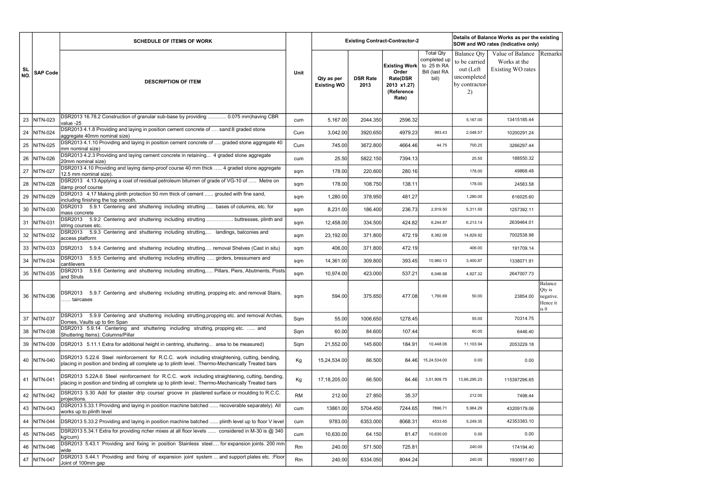|           |                 | <b>SCHEDULE OF ITEMS OF WORK</b>                                                                                                                                                                     |             |                                  |                         | <b>Existing Contract-Contractor-2</b>                                                  |                                                                           |                                                                                         | Details of Balance Works as per the existing<br>SOW and WO rates (Indicative only) |                                       |
|-----------|-----------------|------------------------------------------------------------------------------------------------------------------------------------------------------------------------------------------------------|-------------|----------------------------------|-------------------------|----------------------------------------------------------------------------------------|---------------------------------------------------------------------------|-----------------------------------------------------------------------------------------|------------------------------------------------------------------------------------|---------------------------------------|
| SL<br>NO. | <b>SAP Code</b> | <b>DESCRIPTION OF ITEM</b>                                                                                                                                                                           | <b>Unit</b> | Qty as per<br><b>Existing WO</b> | <b>DSR Rate</b><br>2013 | <b>Existing Work</b><br>Order<br><b>Rate(DSR</b><br>2013 x1.27)<br>(Reference<br>Rate) | <b>Total Qty</b><br>completed up<br>to 25 th RA<br>Bill (last RA<br>bill) | <b>Balance Qty</b><br>to be carried<br>out (Left<br>uncompleted<br>by contractor-<br>2) | Value of Balance<br>Works at the<br>Existing WO rates                              | Remarks                               |
|           | 23 NITN-023     | DSR2013 16.78.2 Construction of granular sub-base by providing  0.075 mm)having CBR<br>value -25                                                                                                     | cum         | 5,167.00                         | 2044.350                | 2596.32                                                                                |                                                                           | 5,167.00                                                                                | 13415185.44                                                                        |                                       |
|           | 24 NITN-024     | DSR2013 4.1.8 Providing and laying in position cement concrete of  sand:8 graded stone<br>aggregate 40mm nominal size)                                                                               | Cum         | 3,042.00                         | 3920.650                | 4979.23                                                                                | 993.43                                                                    | 2,048.57                                                                                | 10200291.24                                                                        |                                       |
|           | 25 NITN-025     | DSR2013 4.1.10 Providing and laying in position cement concrete of  graded stone aggregate 40<br>mm nominal size)                                                                                    | Cum         | 745.00                           | 3672.800                | 4664.46                                                                                | 44.75                                                                     | 700.25                                                                                  | 3266297.44                                                                         |                                       |
|           | 26 NITN-026     | DSR2013 4.2.3 Providing and laying cement concrete in retaining 4 graded stone aggregate<br>20mm nominal size)                                                                                       | cum         | 25.50                            | 5822.150                | 7394.13                                                                                |                                                                           | 25.50                                                                                   | 188550.32                                                                          |                                       |
|           | 27   NITN-027   | DSR2013 4.10 Providing and laying damp-proof course 40 mm thick  4 graded stone aggregate<br>12.5 mm nominal size).                                                                                  | sqm         | 178.00                           | 220.600                 | 280.16                                                                                 |                                                                           | 178.00                                                                                  | 49868.48                                                                           |                                       |
|           | 28 NITN-028     | DSR2013 4.13 Applying a coat of residual petroleum bitumen of grade of VG-10 of  Metre on<br>damp proof course                                                                                       | sqm         | 178.00                           | 108.750                 | 138.11                                                                                 |                                                                           | 178.00                                                                                  | 24583.58                                                                           |                                       |
|           | 29 NITN-029     | DSR2013 4.17 Making plinth protection 50 mm thick of cement  grouted with fine sand,<br>including finishing the top smooth.                                                                          | sqm         | 1,280.00                         | 378.950                 | 481.27                                                                                 |                                                                           | 1,280.00                                                                                | 616025.60                                                                          |                                       |
|           | 30   NITN-030   | DSR2013 5.9.1 Centering and shuttering including strutting  bases of columns, etc. for<br>mass concrete                                                                                              | sqm         | 8,231.00                         | 186.400                 | 236.73                                                                                 | 2,919.50                                                                  | 5,311.50                                                                                | 1257392.11                                                                         |                                       |
|           | 31   NITN-031   | DSR2013 5.9.2 Centering and shuttering including strutting  buttresses, plinth and<br>string courses etc.                                                                                            | sqm         | 12,458.00                        | 334.500                 | 424.82                                                                                 | 6,244.87                                                                  | 6,213.14                                                                                | 2639464.01                                                                         |                                       |
|           | 32 NITN-032     | DSR2013 5.9.3 Centering and shuttering including strutting, landings, balconies and<br>access platform                                                                                               | sqm         | 23,192.00                        | 371.800                 | 472.19                                                                                 | 8,362.08                                                                  | 14,829.92                                                                               | 7002538.98                                                                         |                                       |
|           | 33 NITN-033     | DSR2013<br>5.9.4 Centering and shuttering including strutting removal Shelves (Cast in situ)                                                                                                         | sqm         | 406.00                           | 371.800                 | 472.19                                                                                 |                                                                           | 406.00                                                                                  | 191709.14                                                                          |                                       |
|           | 34 NITN-034     | <b>DSR2013</b><br>5.9.5 Centering and shuttering including strutting  girders, bressumers and<br>cantilevers                                                                                         | sqm         | 14,361.00                        | 309.800                 | 393.45                                                                                 | 10,960.13                                                                 | 3,400.87                                                                                | 1338071.91                                                                         |                                       |
|           | 35 NITN-035     | 5.9.6 Centering and shuttering including strutting, Pillars, Piers, Abutments, Posts<br>DSR2013<br>and Struts                                                                                        | sqm         | 10,974.00                        | 423.000                 | 537.21                                                                                 | 6,046.68                                                                  | 4,927.32                                                                                | 2647007.73                                                                         |                                       |
|           | 36 NITN-036     | DSR2013 5.9.7 Centering and shuttering including strutting, propping etc. and removal Stairs,<br>. taircases                                                                                         | sqm         | 594.00                           | 375.650                 | 477.08                                                                                 | 1,760.69                                                                  | 50.00                                                                                   | 23854.00 negative.                                                                 | Balance<br>Qty is<br>Hence it<br>is 0 |
|           | 37   NITN-037   | DSR2013 5.9.9 Centering and shuttering including strutting, propping etc. and removal Arches,<br>Domes, Vaults up to 6m Span                                                                         | Sqm         | 55.00                            | 1006.650                | 1278.45                                                                                |                                                                           | 55.00                                                                                   | 70314.75                                                                           |                                       |
|           | 38 NITN-038     | DSR2013 5.9.14 Centering and shuttering including strutting, propping etc.  and<br>Shuttering Items): Columns/Pillar                                                                                 | Sqm         | 60.00                            | 84.600                  | 107.44                                                                                 |                                                                           | 60.00                                                                                   | 6446.40                                                                            |                                       |
|           | 39 NITN-039     | DSR2013 5.11.1 Extra for additional height in centring, shuttering area to be measured)                                                                                                              | Sqm         | 21,552.00                        | 145.600                 | 184.91                                                                                 | 10,448.06                                                                 | 11,103.94                                                                               | 2053229.18                                                                         |                                       |
|           | 40   NITN-040   | DSR2013 5.22.6 Steel reinforcement for R.C.C. work including straightening, cutting, bending,<br>placing in position and binding all complete up to plinth level. : Thermo-Mechanically Treated bars | Kg          | 15,24,534.00                     | 66.500                  | 84.46                                                                                  | 15,24,534.00                                                              | 0.00                                                                                    | 0.00                                                                               |                                       |
|           | 41 NITN-041     | DSR2013 5.22A.6 Steel reinforcement for R.C.C. work including straightening, cutting, bending,<br>placing in position and binding all complete up to plinth level.: Thermo-Mechanically Treated bars | Kg          | 17,18,205.00                     | 66.500                  | 84.46                                                                                  | 3,51,909.75                                                               | 13,66,295.25                                                                            | 115397296.65                                                                       |                                       |
|           | 42   NITN-042   | DSR2013 5.30 Add for plaster drip course/ groove in plastered surface or moulding to R.C.C.<br>projections.                                                                                          | <b>RM</b>   | 212.00                           | 27.850                  | 35.37                                                                                  |                                                                           | 212.00                                                                                  | 7498.44                                                                            |                                       |
|           | 43   NITN-043   | DSR2013 5.33.1 Providing and laying in position machine batched  recoverable separately). All<br>works up to plinth level                                                                            | cum         | 13861.00                         | 5704.450                | 7244.65                                                                                | 7896.71                                                                   | 5,964.29                                                                                | 43209179.06                                                                        |                                       |
|           | 44   NITN-044   | DSR2013 5.33.2 Providing and laying in position machine batched  plinth level up to floor V level                                                                                                    | cum         | 9783.00                          | 6353.000                | 8068.31                                                                                | 4533.65                                                                   | 5,249.35                                                                                | 42353383.10                                                                        |                                       |
|           | 45 NITN-045     | DSR2013 5.34.1 Extra for providing richer mixes at all floor levels  considered in M-30 is @ 340<br>kg/cum)                                                                                          | cum         | 10,630.00                        | 64.150                  | 81.47                                                                                  | 10,630.00                                                                 | 0.00                                                                                    | 0.00                                                                               |                                       |
|           | 46 NITN-046     | DSR2013 5.43.1 Providing and fixing in position Stainless steel for expansion joints. 200 mm<br>wide                                                                                                 | Rm          | 240.00                           | 571.500                 | 725.81                                                                                 |                                                                           | 240.00                                                                                  | 174194.40                                                                          |                                       |
|           | 47   NITN-047   | DSR2013 5.44.1 Providing and fixing of expansion joint system  and support plates etc. : Floor<br>Joint of 100mm gap                                                                                 | Rm          | 240.00                           | 6334.050                | 8044.24                                                                                |                                                                           | 240.00                                                                                  | 1930617.60                                                                         |                                       |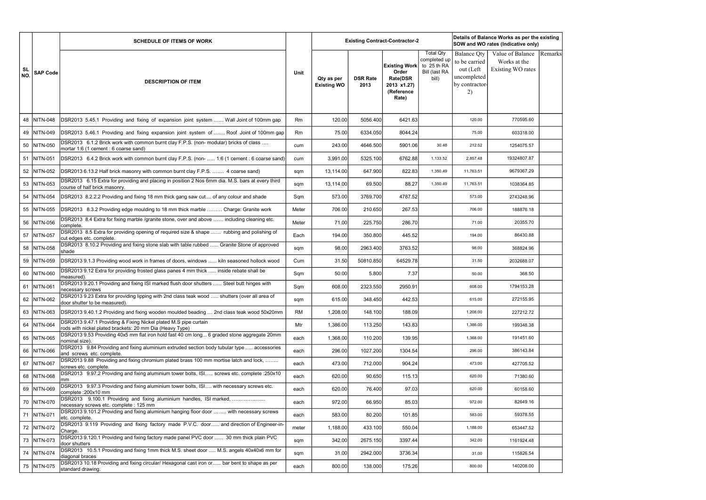|                  |                 | <b>SCHEDULE OF ITEMS OF WORK</b>                                                                                                  |           |                                  |                         | <b>Existing Contract-Contractor-2</b>                                                  | Details of Balance Works as per the existing<br>SOW and WO rates (Indicative only)<br><b>Total Qty</b><br><b>Balance Qty</b><br>Value of Balance<br>completed up |                                                                   |                                   |         |  |  |
|------------------|-----------------|-----------------------------------------------------------------------------------------------------------------------------------|-----------|----------------------------------|-------------------------|----------------------------------------------------------------------------------------|------------------------------------------------------------------------------------------------------------------------------------------------------------------|-------------------------------------------------------------------|-----------------------------------|---------|--|--|
| <b>SL</b><br>NO. | <b>SAP Code</b> | <b>DESCRIPTION OF ITEM</b>                                                                                                        | Unit      | Qty as per<br><b>Existing WO</b> | <b>DSR Rate</b><br>2013 | <b>Existing Work</b><br>Order<br><b>Rate(DSR</b><br>2013 x1.27)<br>(Reference<br>Rate) | to 25 th RA<br>Bill (last RA<br>bill)                                                                                                                            | to be carried<br>out (Left<br>uncompleted<br>by contractor-<br>2) | Works at the<br>Existing WO rates | Remarks |  |  |
| 48               | <b>NITN-048</b> | DSR2013 5.45.1 Providing and fixing of expansion joint system  Wall Joint of 100mm gap                                            | Rm        | 120.00                           | 5056.400                | 6421.63                                                                                |                                                                                                                                                                  | 120.00                                                            | 770595.60                         |         |  |  |
|                  | 49 NITN-049     | DSR2013 5.46.1 Providing and fixing expansion joint system of  Roof Joint of 100mm gap                                            | Rm        | 75.00                            | 6334.050                | 8044.24                                                                                |                                                                                                                                                                  | 75.00                                                             | 603318.00                         |         |  |  |
|                  | 50 NITN-050     | DSR2013 6.1.2 Brick work with common burnt clay F.P.S. (non- modular) bricks of class<br>mortar 1:6 (1 cement : 6 coarse sand)    | cum       | 243.00                           | 4646.500                | 5901.06                                                                                | 30.48                                                                                                                                                            | 212.52                                                            | 1254075.57                        |         |  |  |
|                  | 51 NITN-051     | DSR2013 6.4.2 Brick work with common burnt clay F.P.S. (non-  1:6 (1 cement : 6 coarse sand)                                      | cum       | 3,991.00                         | 5325.100                | 6762.88                                                                                | 1,133.52                                                                                                                                                         | 2,857.48                                                          | 19324807.87                       |         |  |  |
|                  | 52 NITN-052     | DSR2013 6.13.2 Half brick masonry with common burnt clay F.P.S.  4 coarse sand)                                                   | sqm       | 13,114.00                        | 647.900                 | 822.83                                                                                 | 1,350.49                                                                                                                                                         | 11,763.51                                                         | 9679367.29                        |         |  |  |
|                  | 53 NITN-053     | DSR2013 6.15 Extra for providing and placing in position 2 Nos 6mm dia. M.S. bars at every third<br>course of half brick masonry. | sqm       | 13,114.00                        | 69.500                  | 88.27                                                                                  | 1,350.49                                                                                                                                                         | 11,763.51                                                         | 1038364.85                        |         |  |  |
|                  | 54 NITN-054     | DSR2013 8.2.2.2 Providing and fixing 18 mm thick gang saw cut of any colour and shade                                             | Sqm       | 573.00                           | 3769.700                | 4787.52                                                                                |                                                                                                                                                                  | 573.00                                                            | 2743248.96                        |         |  |  |
|                  | 55 NITN-055     | DSR2013 8.3.2 Providing edge moulding to 18 mm thick marble  Charge: Granite work                                                 | Meter     | 706.00                           | 210.650                 | 267.53                                                                                 |                                                                                                                                                                  | 706.00                                                            | 188876.18                         |         |  |  |
|                  | 56 NITN-056     | DSR2013 8.4 Extra for fixing marble /granite stone, over and above  including cleaning etc.<br>complete.                          | Meter     | 71.00                            | 225.750                 | 286.70                                                                                 |                                                                                                                                                                  | 71.00                                                             | 20355.70                          |         |  |  |
|                  | 57 NITN-057     | DSR2013 8.5 Extra for providing opening of required size & shape  rubbing and polishing of<br>cut edges etc. complete.            | Each      | 194.00                           | 350.800                 | 445.52                                                                                 |                                                                                                                                                                  | 194.00                                                            | 86430.88                          |         |  |  |
|                  | 58 NITN-058     | DSR2013 8.10.2 Providing and fixing stone slab with table rubbed  Granite Stone of approved<br>shade                              | sqm       | 98.00                            | 2963.400                | 3763.52                                                                                |                                                                                                                                                                  | 98.00                                                             | 368824.96                         |         |  |  |
|                  | 59   NITN-059   | DSR2013 9.1.3 Providing wood work in frames of doors, windows  kiln seasoned hollock wood                                         | Cum       | 31.50                            | 50810.850               | 64529.78                                                                               |                                                                                                                                                                  | 31.50                                                             | 2032688.07                        |         |  |  |
|                  | 60 NITN-060     | DSR2013 9.12 Extra for providing frosted glass panes 4 mm thick  inside rebate shall be<br>measured).                             | Sqm       | 50.00                            | 5.800                   | 7.37                                                                                   |                                                                                                                                                                  | 50.00                                                             | 368.50                            |         |  |  |
|                  | 61 NITN-061     | DSR2013 9.20.1 Providing and fixing ISI marked flush door shutters  Steel butt hinges with<br>necessary screws                    | Sqm       | 608.00                           | 2323.550                | 2950.91                                                                                |                                                                                                                                                                  | 608.00                                                            | 1794153.28                        |         |  |  |
|                  | 62   NITN-062   | DSR2013 9.23 Extra for providing lipping with 2nd class teak wood  shutters (over all area of<br>door shutter to be measured).    | sqm       | 615.00                           | 348.450                 | 442.53                                                                                 |                                                                                                                                                                  | 615.00                                                            | 272155.95                         |         |  |  |
|                  | 63 NITN-063     | DSR2013 9.40.1.2 Providing and fixing wooden moulded beading  2nd class teak wood 50x20mm                                         | <b>RM</b> | 1,208.00                         | 148.100                 | 188.09                                                                                 |                                                                                                                                                                  | 1,208.00                                                          | 227212.72                         |         |  |  |
|                  | 64 NITN-064     | DSR2013 9.47.1 Providing & Fixing Nickel plated M.S pipe curtain<br>rods with nickel plated brackets: 20 mm Dia (Heavy Type)      | Mtr       | 1,386.00                         | 113.250                 | 143.83                                                                                 |                                                                                                                                                                  | 1,386.00                                                          | 199348.38                         |         |  |  |
|                  | 65 NITN-065     | DSR2013 9.53 Providing 40x5 mm flat iron hold fast 40 cm long 6 graded stone aggregate 20mm<br>nominal size).                     | each      | 1,368.00                         | 110.200                 | 139.95                                                                                 |                                                                                                                                                                  | 1,368.00                                                          | 191451.60                         |         |  |  |
|                  | 66 NITN-066     | DSR2013 9.84 Providing and fixing aluminium extruded section body tubular type  accessories<br>and screws etc. complete.          | each      | 296.00                           | 1027.200                | 1304.54                                                                                |                                                                                                                                                                  | 296.00                                                            | 386143.84                         |         |  |  |
|                  | 67   NITN-067   | DSR2013 9.88 Providing and fixing chromium plated brass 100 mm mortise latch and lock,<br>screws etc. complete.                   | each      | 473.00                           | 712.000                 | 904.24                                                                                 |                                                                                                                                                                  | 473.00                                                            | 427705.52                         |         |  |  |
|                  | 68 NITN-068     | DSR2013 9.97.2 Providing and fixing aluminium tower bolts, ISI screws etc. complete :250x10<br>mm                                 | each      | 620.00                           | 90.650                  | 115.13                                                                                 |                                                                                                                                                                  | 620.00                                                            | 71380.60                          |         |  |  |
|                  | 69 NITN-069     | DSR2013 9.97.3 Providing and fixing aluminium tower bolts, ISI with necessary screws etc.<br>complete : 200x10 mm                 | each      | 620.00                           | 76.400                  | 97.03                                                                                  |                                                                                                                                                                  | 620.00                                                            | 60158.60                          |         |  |  |
|                  | 70 NITN-070     | DSR2013 9.100.1 Providing and fixing aluminium handles, ISI marked,<br>necessary screws etc. complete: 125 mm                     | each      | 972.00                           | 66.950                  | 85.03                                                                                  |                                                                                                                                                                  | 972.00                                                            | 82649.16                          |         |  |  |
|                  | 71 NITN-071     | DSR2013 9.101.2 Providing and fixing aluminium hanging floor door  with necessary screws<br>etc. complete.                        | each      | 583.00                           | 80.200                  | 101.85                                                                                 |                                                                                                                                                                  | 583.00                                                            | 59378.55                          |         |  |  |
|                  | 72 NITN-072     | DSR2013 9.119 Providing and fixing factory made P.V.C. door and direction of Engineer-in-<br>Charge.                              | meter     | 1,188.00                         | 433.100                 | 550.04                                                                                 |                                                                                                                                                                  | 1,188.00                                                          | 653447.52                         |         |  |  |
|                  | 73   NITN-073   | DSR2013 9.120.1 Providing and fixing factory made panel PVC door  30 mm thick plain PVC<br>door shutters                          | sqm       | 342.00                           | 2675.150                | 3397.44                                                                                |                                                                                                                                                                  | 342.00                                                            | 1161924.48                        |         |  |  |
|                  | 74   NITN-074   | DSR2013 10.5.1 Providing and fixing 1mm thick M.S. sheet door  M.S. angels 40x40x6 mm for<br>diagonal braces                      | sqm       | 31.00                            | 2942.000                | 3736.34                                                                                |                                                                                                                                                                  | 31.00                                                             | 115826.54                         |         |  |  |
|                  | 75 NITN-075     | DSR2013 10.18 Providing and fixing circular/ Hexagonal cast iron or bar bent to shape as per<br>standard drawing.                 | each      | 800.00                           | 138.000                 | 175.26                                                                                 |                                                                                                                                                                  | 800.00                                                            | 140208.00                         |         |  |  |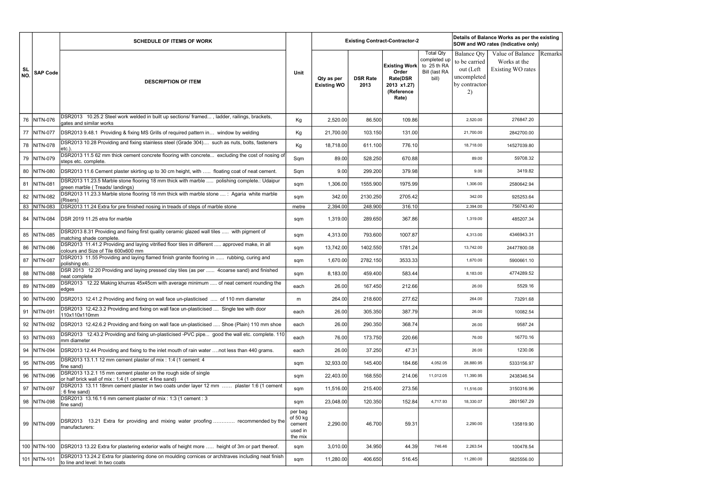|           |                 | <b>SCHEDULE OF ITEMS OF WORK</b>                                                                                                       |                                                     |                                  |                         | <b>Existing Contract-Contractor-2</b>                                                  | Details of Balance Works as per the existing<br>SOW and WO rates (Indicative only)<br><b>Total Qty</b><br>Value of Balance<br><b>Balance Qty</b><br>completed up<br>to be carried<br>Works at the |                                                  |                   |         |  |
|-----------|-----------------|----------------------------------------------------------------------------------------------------------------------------------------|-----------------------------------------------------|----------------------------------|-------------------------|----------------------------------------------------------------------------------------|---------------------------------------------------------------------------------------------------------------------------------------------------------------------------------------------------|--------------------------------------------------|-------------------|---------|--|
| SL<br>NO. | <b>SAP Code</b> | <b>DESCRIPTION OF ITEM</b>                                                                                                             | Unit                                                | Qty as per<br><b>Existing WO</b> | <b>DSR Rate</b><br>2013 | <b>Existing Work</b><br>Order<br><b>Rate(DSR</b><br>2013 x1.27)<br>(Reference<br>Rate) | to 25 th RA<br>Bill (last RA<br>bill)                                                                                                                                                             | out (Left<br>uncompleted<br>by contractor-<br>2) | Existing WO rates | Remarks |  |
| 76        | NITN-076        | DSR2013 10.25.2 Steel work welded in built up sections/ framed, ladder, railings, brackets,<br>gates and similar works                 | Kg                                                  | 2,520.00                         | 86.500                  | 109.86                                                                                 |                                                                                                                                                                                                   | 2,520.00                                         | 276847.20         |         |  |
|           | 77 NITN-077     | DSR2013 9.48.1 Providing & fixing MS Grills of required pattern in window by welding                                                   | Kg                                                  | 21,700.00                        | 103.150                 | 131.00                                                                                 |                                                                                                                                                                                                   | 21,700.00                                        | 2842700.00        |         |  |
|           | 78   NITN-078   | DSR2013 10.28 Providing and fixing stainless steel (Grade 304) such as nuts, bolts, fasteners<br>etc.)                                 | Kg                                                  | 18,718.00                        | 611.100                 | 776.10                                                                                 |                                                                                                                                                                                                   | 18,718.00                                        | 14527039.80       |         |  |
|           | 79   NITN-079   | DSR2013 11.5 62 mm thick cement concrete flooring with concrete excluding the cost of nosing of<br>steps etc. complete.                | Sqm                                                 | 89.00                            | 528.250                 | 670.88                                                                                 |                                                                                                                                                                                                   | 89.00                                            | 59708.32          |         |  |
|           | 80 NITN-080     | DSR2013 11.6 Cement plaster skirting up to 30 cm height, with  floating coat of neat cement.                                           | Sqm                                                 | 9.00                             | 299.200                 | 379.98                                                                                 |                                                                                                                                                                                                   | 9.00                                             | 3419.82           |         |  |
|           | 81 NITN-081     | DSR2013 11.23.5 Marble stone flooring 18 mm thick with marble  polishing complete.: Udaipur<br>green marble (Treads/landings)          | sqm                                                 | 1,306.00                         | 1555.900                | 1975.99                                                                                |                                                                                                                                                                                                   | 1,306.00                                         | 2580642.94        |         |  |
|           | 82 NITN-082     | DSR2013 11.23.3 Marble stone flooring 18 mm thick with marble stone  : Agaria white marble<br>(Risers)                                 | sqm                                                 | 342.00                           | 2130.250                | 2705.42                                                                                |                                                                                                                                                                                                   | 342.00                                           | 925253.64         |         |  |
|           | 83 NITN-083     | DSR2013 11.24 Extra for pre finished nosing in treads of steps of marble stone                                                         | metre                                               | 2,394.00                         | 248.900                 | 316.10                                                                                 |                                                                                                                                                                                                   | 2,394.00                                         | 756743.40         |         |  |
|           | 84 NITN-084     | DSR 2019 11.25 etra for marble                                                                                                         | sqm                                                 | 1,319.00                         | 289.650                 | 367.86                                                                                 |                                                                                                                                                                                                   | 1,319.00                                         | 485207.34         |         |  |
|           | 85 NITN-085     | DSR2013 8.31 Providing and fixing first quality ceramic glazed wall tiles  with pigment of<br>matching shade complete.                 | sqm                                                 | 4,313.00                         | 793.600                 | 1007.87                                                                                |                                                                                                                                                                                                   | 4,313.00                                         | 4346943.31        |         |  |
|           | 86 NITN-086     | DSR2013 11.41.2 Providing and laying vitrified floor tiles in different  approved make, in all<br>colours and Size of Tile 600x600 mm  | sqm                                                 | 13,742.00                        | 1402.550                | 1781.24                                                                                |                                                                                                                                                                                                   | 13,742.00                                        | 24477800.08       |         |  |
|           | 87   NITN-087   | DSR2013 11.55 Providing and laying flamed finish granite flooring in  rubbing, curing and<br>polishing etc.                            | sqm                                                 | 1,670.00                         | 2782.150                | 3533.33                                                                                |                                                                                                                                                                                                   | 1,670.00                                         | 5900661.10        |         |  |
|           | 88   NITN-088   | DSR 2013 12.20 Providing and laying pressed clay tiles (as per  4coarse sand) and finished<br>neat complete                            | sqm                                                 | 8,183.00                         | 459.400                 | 583.44                                                                                 |                                                                                                                                                                                                   | 8,183.00                                         | 4774289.52        |         |  |
|           | 89 NITN-089     | DSR2013 12.22 Making khurras 45x45cm with average minimum  of neat cement rounding the<br>edges                                        | each                                                | 26.00                            | 167.450                 | 212.66                                                                                 |                                                                                                                                                                                                   | 26.00                                            | 5529.16           |         |  |
|           |                 | 90 NITN-090 DSR2013 12.41.2 Providing and fixing on wall face un-plasticised  of 110 mm diameter                                       | m                                                   | 264.00                           | 218.600                 | 277.62                                                                                 |                                                                                                                                                                                                   | 264.00                                           | 73291.68          |         |  |
|           | 91 NITN-091     | DSR2013 12.42.3.2 Providing and fixing on wall face un-plasticised  Single tee with door<br>110x110x110mm                              | each                                                | 26.00                            | 305.350                 | 387.79                                                                                 |                                                                                                                                                                                                   | 26.00                                            | 10082.54          |         |  |
|           | 92 NITN-092     | DSR2013 12.42.6.2 Providing and fixing on wall face un-plasticised  Shoe (Plain) 110 mm shoe                                           | each                                                | 26.00                            | 290.350                 | 368.74                                                                                 |                                                                                                                                                                                                   | 26.00                                            | 9587.24           |         |  |
|           | 93 NITN-093     | DSR2013 12.43.2 Providing and fixing un-plasticised -PVC pipe good the wall etc. complete. 110<br>mm diameter                          | each                                                | 76.00                            | 173.750                 | 220.66                                                                                 |                                                                                                                                                                                                   | 76.00                                            | 16770.16          |         |  |
|           | 94 NITN-094     | DSR2013 12.44 Providing and fixing to the inlet mouth of rain water not less than 440 grams.                                           | each                                                | 26.00                            | 37.250                  | 47.31                                                                                  |                                                                                                                                                                                                   | 26.00                                            | 1230.06           |         |  |
|           | 95 NITN-095     | DSR2013 13.1.1 12 mm cement plaster of mix : 1:4 (1 cement: 4<br>fine sand)                                                            | sqm                                                 | 32,933.00                        | 145.400                 | 184.66                                                                                 | 4,052.05                                                                                                                                                                                          | 28,880.95                                        | 5333156.97        |         |  |
| 96        | <b>NITN-096</b> | DSR2013 13.2.1 15 mm cement plaster on the rough side of single<br>or half brick wall of mix : 1:4 (1 cement: 4 fine sand)             | sqm                                                 | 22,403.00                        | 168.550                 | 214.06                                                                                 | 11,012.05                                                                                                                                                                                         | 11,390.95                                        | 2438346.54        |         |  |
|           | 97 NITN-097     | DSR2013 13.11 18mm cement plaster in two coats under layer 12 mm  plaster 1:6 (1 cement<br>: 6 fine sand)                              | sqm                                                 | 11,516.00                        | 215.400                 | 273.56                                                                                 |                                                                                                                                                                                                   | 11,516.00                                        | 3150316.96        |         |  |
|           | 98 NITN-098     | DSR2013 13.16.1 6 mm cement plaster of mix : 1:3 (1 cement : 3<br>fine sand)                                                           | sqm                                                 | 23,048.00                        | 120.350                 | 152.84                                                                                 | 4,717.93                                                                                                                                                                                          | 18,330.07                                        | 2801567.29        |         |  |
|           | 99 NITN-099     | DSR2013 13.21 Extra for providing and mixing water proofing  recommended by the<br>manufacturers:                                      | per bag<br>of 50 kg<br>cement<br>used in<br>the mix | 2,290.00                         | 46.700                  | 59.31                                                                                  |                                                                                                                                                                                                   | 2,290.00                                         | 135819.90         |         |  |
|           | 100 NITN-100    | DSR2013 13.22 Extra for plastering exterior walls of height more  height of 3m or part thereof.                                        | sqm                                                 | 3,010.00                         | 34.950                  | 44.39                                                                                  | 746.46                                                                                                                                                                                            | 2,263.54                                         | 100478.54         |         |  |
|           | 101 NITN-101    | DSR2013 13.24.2 Extra for plastering done on moulding cornices or architraves including neat finish<br>to line and level: In two coats | sqm                                                 | 11,280.00                        | 406.650                 | 516.45                                                                                 |                                                                                                                                                                                                   | 11,280.00                                        | 5825556.00        |         |  |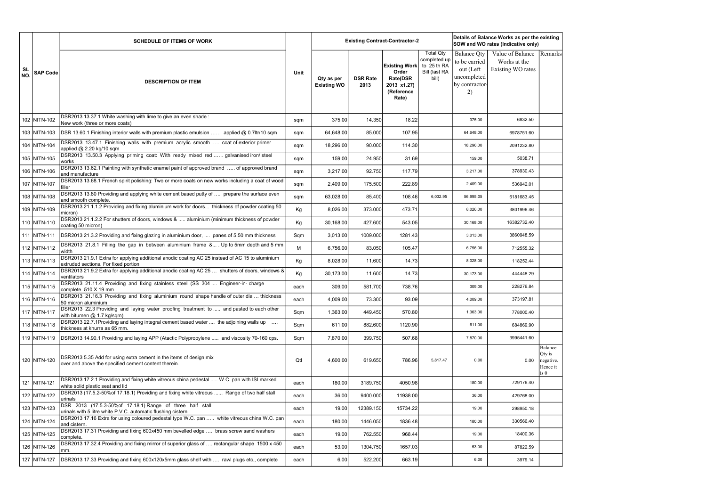|           |                 | <b>SCHEDULE OF ITEMS OF WORK</b>                                                                                                        |      |                                  |                         | <b>Existing Contract-Contractor-2</b>                                                  |                                                                           | Details of Balance Works as per the existing<br>SOW and WO rates (Indicative only)<br>Value of Balance<br><b>Balance Qty</b> |                                   |                                                    |  |
|-----------|-----------------|-----------------------------------------------------------------------------------------------------------------------------------------|------|----------------------------------|-------------------------|----------------------------------------------------------------------------------------|---------------------------------------------------------------------------|------------------------------------------------------------------------------------------------------------------------------|-----------------------------------|----------------------------------------------------|--|
| SL<br>NO. | <b>SAP Code</b> | <b>DESCRIPTION OF ITEM</b>                                                                                                              | Unit | Qty as per<br><b>Existing WO</b> | <b>DSR Rate</b><br>2013 | <b>Existing Work</b><br>Order<br><b>Rate(DSR</b><br>2013 x1.27)<br>(Reference<br>Rate) | <b>Total Qty</b><br>completed up<br>to 25 th RA<br>Bill (last RA<br>bill) | to be carried<br>out (Left<br>uncompleted<br>by contractor-<br>2)                                                            | Works at the<br>Existing WO rates | Remarks                                            |  |
|           | 102 NITN-102    | DSR2013 13.37.1 White washing with lime to give an even shade:<br>New work (three or more coats)                                        | sqm  | 375.00                           | 14.350                  | 18.22                                                                                  |                                                                           | 375.00                                                                                                                       | 6832.50                           |                                                    |  |
|           | 103 NITN-103    | DSR 13.60.1 Finishing interior walls with premium plastic emulsion  applied @ 0.7ltr/10 sqm                                             | sqm  | 64,648.00                        | 85.000                  | 107.95                                                                                 |                                                                           | 64,648.00                                                                                                                    | 6978751.60                        |                                                    |  |
|           | 104 NITN-104    | DSR2013 13.47.1 Finishing walls with premium acrylic smooth  coat of exterior primer<br>applied @ 2.20 kg/10 sqm                        | sqm  | 18,296.00                        | 90.000                  | 114.30                                                                                 |                                                                           | 18,296.00                                                                                                                    | 2091232.80                        |                                                    |  |
|           | 105 NITN-105    | DSR2013 13.50.3 Applying priming coat: With ready mixed red  galvanised iron/ steel<br>works                                            | sqm  | 159.00                           | 24.950                  | 31.69                                                                                  |                                                                           | 159.00                                                                                                                       | 5038.71                           |                                                    |  |
|           | 106 NITN-106    | DSR2013 13.62.1 Painting with synthetic enamel paint of approved brand  of approved brand<br>land manufacture                           | sqm  | 3,217.00                         | 92.750                  | 117.79                                                                                 |                                                                           | 3,217.00                                                                                                                     | 378930.43                         |                                                    |  |
|           | 107 NITN-107    | DSR2013 13.68.1 French spirit polishing: Two or more coats on new works including a coat of wood<br>filler                              | sqm  | 2,409.00                         | 175.500                 | 222.89                                                                                 |                                                                           | 2,409.00                                                                                                                     | 536942.01                         |                                                    |  |
|           | 108 NITN-108    | DSR2013 13.80 Providing and applying white cement based putty of  prepare the surface even<br>and smooth complete.                      | sqm  | 63,028.00                        | 85.400                  | 108.46                                                                                 | 6,032.95                                                                  | 56,995.05                                                                                                                    | 6181683.45                        |                                                    |  |
|           | 109 NITN-109    | DSR2013 21.1.1.2 Providing and fixing aluminium work for doors thickness of powder coating 50<br>micron)                                | Kg   | 8,026.00                         | 373.000                 | 473.71                                                                                 |                                                                           | 8,026.00                                                                                                                     | 3801996.46                        |                                                    |  |
|           | 110 NITN-110    | DSR2013 21.1.2.2 For shutters of doors, windows &  aluminium (minimum thickness of powder<br>coating 50 micron)                         | Kg   | 30,168.00                        | 427.600                 | 543.05                                                                                 |                                                                           | 30,168.00                                                                                                                    | 16382732.40                       |                                                    |  |
|           | 111 NITN-111    | DSR2013 21.3.2 Providing and fixing glazing in aluminium door,  panes of 5.50 mm thickness                                              | Sqm  | 3,013.00                         | 1009.000                | 1281.43                                                                                |                                                                           | 3,013.00                                                                                                                     | 3860948.59                        |                                                    |  |
|           | 112 NITN-112    | DSR2013 21.8.1 Filling the gap in between aluminium frame & Up to 5mm depth and 5 mm<br>width                                           | М    | 6,756.00                         | 83.050                  | 105.47                                                                                 |                                                                           | 6,756.00                                                                                                                     | 712555.32                         |                                                    |  |
|           | 113 NITN-113    | DSR2013 21.9.1 Extra for applying additional anodic coating AC 25 instead of AC 15 to aluminium<br>extruded sections. For fixed portion | Kg   | 8,028.00                         | 11.600                  | 14.73                                                                                  |                                                                           | 8,028.00                                                                                                                     | 118252.44                         |                                                    |  |
|           | 114 NITN-114    | DSR2013 21.9.2 Extra for applying additional anodic coating AC 25  shutters of doors, windows &<br>ventilators                          | Kg   | 30,173.00                        | 11.600                  | 14.73                                                                                  |                                                                           | 30,173.00                                                                                                                    | 444448.29                         |                                                    |  |
|           | 115 NITN-115    | DSR2013 21.11.4 Providing and fixing stainless steel (SS 304  Engineer-in-charge<br>complete. 510 X 19 mm                               | each | 309.00                           | 581.700                 | 738.76                                                                                 |                                                                           | 309.00                                                                                                                       | 228276.84                         |                                                    |  |
|           | 116 NITN-116    | DSR2013 21.16.3 Providing and fixing aluminium round shape handle of outer dia  thickness<br>50 micron aluminium                        | each | 4,009.00                         | 73.300                  | 93.09                                                                                  |                                                                           | 4,009.00                                                                                                                     | 373197.81                         |                                                    |  |
|           | 117 NITN-117    | DSR2013 22.3 Providing and laying water proofing treatment to  and pasted to each other<br>with bitumen @ 1.7 kg/sqm).                  | Sqm  | 1,363.00                         | 449.450                 | 570.80                                                                                 |                                                                           | 1,363.00                                                                                                                     | 778000.40                         |                                                    |  |
|           | 118 NITN-118    | DSR2013 22.7.1 Providing and laying integral cement based water  the adjoining walls up<br>thickness at khurra as 65 mm.                | Sqm  | 611.00                           | 882.600                 | 1120.90                                                                                |                                                                           | 611.00                                                                                                                       | 684869.90                         |                                                    |  |
|           | 119 NITN-119    | DSR2013 14.90.1 Providing and laying APP (Atactic Polypropylene  and viscosity 70-160 cps.                                              | Sqm  | 7,870.00                         | 399.750                 | 507.68                                                                                 |                                                                           | 7,870.00                                                                                                                     | 3995441.60                        |                                                    |  |
|           | 120 NITN-120    | DSR2013 5.35 Add for using extra cement in the items of design mix<br>over and above the specified cement content therein.              | Qtl  | 4,600.00                         | 619.650                 | 786.96                                                                                 | 5,817.47                                                                  | 0.00                                                                                                                         | 0.00                              | Balance<br>Qty is<br>negative.<br>Hence it<br>is 0 |  |
|           | 121 NITN-121    | DSR2013 17.2.1 Providing and fixing white vitreous china pedestal  W.C. pan with ISI marked<br>white solid plastic seat and lid         | each | 180.00                           | 3189.750                | 4050.98                                                                                |                                                                           | 180.00                                                                                                                       | 729176.40                         |                                                    |  |
|           | 122 NITN-122    | DSR2013 (17.5.2-50% of 17.18.1) Providing and fixing white vitreous  Range of two half stall<br>urinals                                 | each | 36.00                            | 9400.000                | 11938.00                                                                               |                                                                           | 36.00                                                                                                                        | 429768.00                         |                                                    |  |
|           | 123 NITN-123    | DSR 2013 (17.5.3-50% of 17.18.1) Range of three half stall<br>urinals with 5 litre white P.V.C. automatic flushing cistern              | each | 19.00                            | 12389.150               | 15734.22                                                                               |                                                                           | 19.00                                                                                                                        | 298950.18                         |                                                    |  |
|           | 124 NITN-124    | DSR2013 17.16 Extra for using coloured pedestal type W.C. pan  white vitreous china W.C. pan<br>and cistern.                            | each | 180.00                           | 1446.050                | 1836.48                                                                                |                                                                           | 180.00                                                                                                                       | 330566.40                         |                                                    |  |
|           | 125 NITN-125    | DSR2013 17.31 Providing and fixing 600x450 mm bevelled edge  brass screw sand washers<br>complete.                                      | each | 19.00                            | 762.550                 | 968.44                                                                                 |                                                                           | 19.00                                                                                                                        | 18400.36                          |                                                    |  |
|           | 126 NITN-126    | DSR2013 17.32.4 Providing and fixing mirror of superior glass of  rectangular shape 1500 x 450                                          | each | 53.00                            | 1304.750                | 1657.03                                                                                |                                                                           | 53.00                                                                                                                        | 87822.59                          |                                                    |  |
|           | 127   NITN-127  | DSR2013 17.33 Providing and fixing 600x120x5mm glass shelf with  rawl plugs etc., complete                                              | each | 6.00                             | 522.200                 | 663.19                                                                                 |                                                                           | 6.00                                                                                                                         | 3979.14                           |                                                    |  |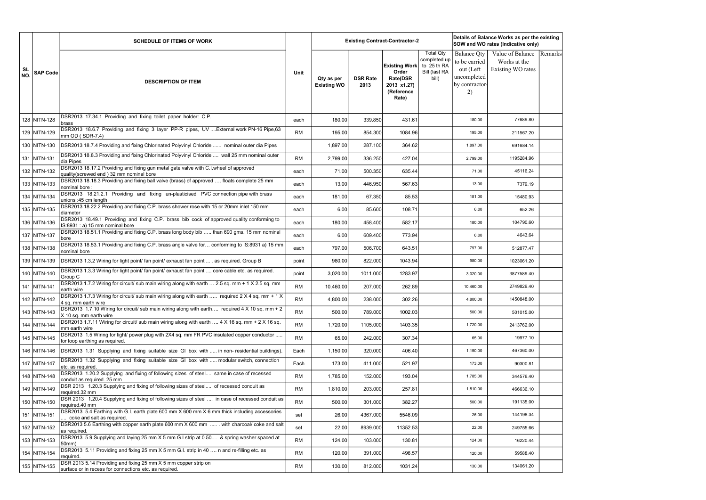|                  |                 | <b>SCHEDULE OF ITEMS OF WORK</b>                                                                                                 |             |                                  |                         | <b>Existing Contract-Contractor-2</b>                                                  |                                                                           |                                                                                         | Details of Balance Works as per the existing<br>SOW and WO rates (Indicative only) |         |
|------------------|-----------------|----------------------------------------------------------------------------------------------------------------------------------|-------------|----------------------------------|-------------------------|----------------------------------------------------------------------------------------|---------------------------------------------------------------------------|-----------------------------------------------------------------------------------------|------------------------------------------------------------------------------------|---------|
| <b>SL</b><br>NO. | <b>SAP Code</b> | <b>DESCRIPTION OF ITEM</b>                                                                                                       | <b>Unit</b> | Qty as per<br><b>Existing WO</b> | <b>DSR Rate</b><br>2013 | <b>Existing Work</b><br>Order<br><b>Rate(DSR</b><br>2013 x1.27)<br>(Reference<br>Rate) | <b>Total Qty</b><br>completed up<br>to 25 th RA<br>Bill (last RA<br>bill) | <b>Balance Qty</b><br>to be carried<br>out (Left<br>uncompleted<br>by contractor-<br>2) | Value of Balance<br>Works at the<br>Existing WO rates                              | Remarks |
|                  | 128 NITN-128    | DSR2013 17.34.1 Providing and fixing toilet paper holder: C.P.<br>brass                                                          | each        | 180.00                           | 339.850                 | 431.61                                                                                 |                                                                           | 180.00                                                                                  | 77689.80                                                                           |         |
|                  | 129 NITN-129    | DSR2013 18.6.7 Providing and fixing 3 layer PP-R pipes, UV  External work PN-16 Pipe, 63<br>mm OD (SDR-7.4)                      | <b>RM</b>   | 195.00                           | 854.300                 | 1084.96                                                                                |                                                                           | 195.00                                                                                  | 211567.20                                                                          |         |
|                  | 130 NITN-130    | DSR2013 18.7.4 Providing and fixing Chlorinated Polyvinyl Chloride  nominal outer dia Pipes                                      |             | 1,897.00                         | 287.100                 | 364.62                                                                                 |                                                                           | 1,897.00                                                                                | 691684.14                                                                          |         |
|                  | 131 NITN-131    | DSR2013 18.8.3 Providing and fixing Chlorinated Polyvinyl Chloride  wall 25 mm nominal outer<br>dia Pipes                        | <b>RM</b>   | 2,799.00                         | 336.250                 | 427.04                                                                                 |                                                                           | 2,799.00                                                                                | 1195284.96                                                                         |         |
|                  | 132 NITN-132    | DSR2013 18.17.2 Providing and fixing gun metal gate valve with C.I. wheel of approved<br>quality(screwed end) 32 mm nominal bore | each        | 71.00                            | 500.350                 | 635.44                                                                                 |                                                                           | 71.00                                                                                   | 45116.24                                                                           |         |
|                  | 133 NITN-133    | DSR2013 18.18.3 Providing and fixing ball valve (brass) of approved  floats complete 25 mm<br>nominal bore:                      | each        | 13.00                            | 446.950                 | 567.63                                                                                 |                                                                           | 13.00                                                                                   | 7379.19                                                                            |         |
|                  | 134 NITN-134    | DSR2013 18.21.2.1 Providing and fixing un-plasticised PVC connection pipe with brass<br>unions :45 cm length                     | each        | 181.00                           | 67.350                  | 85.53                                                                                  |                                                                           | 181.00                                                                                  | 15480.93                                                                           |         |
|                  | 135 NITN-135    | DSR2013 18.22.2 Providing and fixing C.P. brass shower rose with 15 or 20mm inlet 150 mm<br>diameter                             | each        | 6.00                             | 85.600                  | 108.71                                                                                 |                                                                           | 6.00                                                                                    | 652.26                                                                             |         |
|                  | 136 NITN-136    | DSR2013 18.49.1 Providing and fixing C.P. brass bib cock of approved quality conforming to<br>IS:8931 : a) 15 mm nominal bore    | each        | 180.00                           | 458.400                 | 582.17                                                                                 |                                                                           | 180.00                                                                                  | 104790.60                                                                          |         |
|                  | 137 NITN-137    | DSR2013 18.51.1 Providing and fixing C.P. brass long body bib  than 690 gms. 15 mm nominal<br>bore                               | each        | 6.00                             | 609.400                 | 773.94                                                                                 |                                                                           | 6.00                                                                                    | 4643.64                                                                            |         |
|                  | 138 NITN-138    | DSR2013 18.53.1 Providing and fixing C.P. brass angle valve for conforming to IS:8931 a) 15 mm<br>nominal bore                   | each        | 797.00                           | 506.700                 | 643.51                                                                                 |                                                                           | 797.00                                                                                  | 512877.47                                                                          |         |
|                  | 139 NITN-139    | DSR2013 1.3.2 Wiring for light point/ fan point/ exhaust fan point  . as required. Group B                                       | point       | 980.00                           | 822.000                 | 1043.94                                                                                |                                                                           | 980.00                                                                                  | 1023061.20                                                                         |         |
|                  | 140 NITN-140    | DSR2013 1.3.3 Wiring for light point/ fan point/ exhaust fan point  core cable etc. as required.<br>Group C                      | point       | 3,020.00                         | 1011.000                | 1283.97                                                                                |                                                                           | 3,020.00                                                                                | 3877589.40                                                                         |         |
|                  | 141 NITN-141    | DSR2013 1.7.2 Wiring for circuit/ sub main wiring along with earth  2.5 sq. mm + 1 X 2.5 sq. mm<br>earth wire                    | <b>RM</b>   | 10,460.00                        | 207.000                 | 262.89                                                                                 |                                                                           | 10,460.00                                                                               | 2749829.40                                                                         |         |
|                  | 142 NITN-142    | DSR2013 1.7.3 Wiring for circuit/ sub main wiring along with earth  required 2 X 4 sq. mm + 1 X<br>4 sq. mm earth wire           | <b>RM</b>   | 4,800.00                         | 238.000                 | 302.26                                                                                 |                                                                           | 4,800.00                                                                                | 1450848.00                                                                         |         |
|                  | 143 NITN-143    | DSR2013 1.7.10 Wiring for circuit/ sub main wiring along with earth required 4 X 10 sq. mm + 2<br>X 10 sq. mm earth wire         | <b>RM</b>   | 500.00                           | 789.000                 | 1002.03                                                                                |                                                                           | 500.00                                                                                  | 501015.00                                                                          |         |
|                  | 144 NITN-144    | DSR2013 1.7.11 Wiring for circuit/ sub main wiring along with earth  4 X 16 sq. mm + 2 X 16 sq.<br>mm earth wire                 | <b>RM</b>   | 1,720.00                         | 1105.000                | 1403.35                                                                                |                                                                           | 1,720.00                                                                                | 2413762.00                                                                         |         |
|                  | 145 NITN-145    | DSR2013 1.5 Wiring for light/ power plug with 2X4 sq. mm FR PVC insulated copper conductor<br>for loop earthing as required.     | <b>RM</b>   | 65.00                            | 242.000                 | 307.34                                                                                 |                                                                           | 65.00                                                                                   | 19977.10                                                                           |         |
|                  | 146 NITN-146    | DSR2013 1.31 Supplying and fixing suitable size GI box with  in non- residential buildings)                                      | Each        | 1,150.00                         | 320.000                 | 406.40                                                                                 |                                                                           | 1,150.00                                                                                | 467360.00                                                                          |         |
|                  | 147 NITN-147    | DSR2013 1.32 Supplying and fixing suitable size GI box with  modular switch, connection<br>etc. as required.                     | Each        | 173.00                           | 411.000                 | 521.97                                                                                 |                                                                           | 173.00                                                                                  | 90300.81                                                                           |         |
|                  | 148 NITN-148    | DSR2013 1.20.2 Supplying and fixing of following sizes of steel same in case of recessed<br>conduit as required. 25 mm           | <b>RM</b>   | 1,785.00                         | 152.000                 | 193.04                                                                                 |                                                                           | 1,785.00                                                                                | 344576.40                                                                          |         |
|                  | 149 NITN-149    | DSR 2013 1.20.3 Supplying and fixing of following sizes of steel of recessed conduit as<br>required.32 mm                        | RM          | 1,810.00                         | 203.000                 | 257.81                                                                                 |                                                                           | 1,810.00                                                                                | 466636.10                                                                          |         |
|                  | 150 NITN-150    | DSR 2013 1.20.4 Supplying and fixing of following sizes of steel  in case of recessed conduit as<br>required.40 mm               | <b>RM</b>   | 500.00                           | 301.000                 | 382.27                                                                                 |                                                                           | 500.00                                                                                  | 191135.00                                                                          |         |
|                  | 151 NITN-151    | DSR2013 5.4 Earthing with G.I. earth plate 600 mm X 600 mm X 6 mm thick including accessories<br>coke and salt as required.      | set         | 26.00                            | 4367.000                | 5546.09                                                                                |                                                                           | 26.00                                                                                   | 144198.34                                                                          |         |
|                  | 152 NITN-152    | DSR2013 5.6 Earthing with copper earth plate 600 mm X 600 mm  with charcoal/ coke and salt<br>as required.                       | set         | 22.00                            | 8939.000                | 11352.53                                                                               |                                                                           | 22.00                                                                                   | 249755.66                                                                          |         |
|                  | 153 NITN-153    | DSR2013 5.9 Supplying and laying 25 mm X 5 mm G.I strip at 0.50 & spring washer spaced at<br>50mm)                               | <b>RM</b>   | 124.00                           | 103.000                 | 130.81                                                                                 |                                                                           | 124.00                                                                                  | 16220.44                                                                           |         |
|                  | 154 NITN-154    | DSR2013 5.11 Providing and fixing 25 mm X 5 mm G.I. strip in 40  n and re-filling etc. as<br>required.                           | <b>RM</b>   | 120.00                           | 391.000                 | 496.57                                                                                 |                                                                           | 120.00                                                                                  | 59588.40                                                                           |         |
|                  | 155 NITN-155    | DSR 2013 5.14 Providing and fixing 25 mm X 5 mm copper strip on<br>surface or in recess for connections etc. as required.        | RM          | 130.00                           | 812.000                 | 1031.24                                                                                |                                                                           | 130.00                                                                                  | 134061.20                                                                          |         |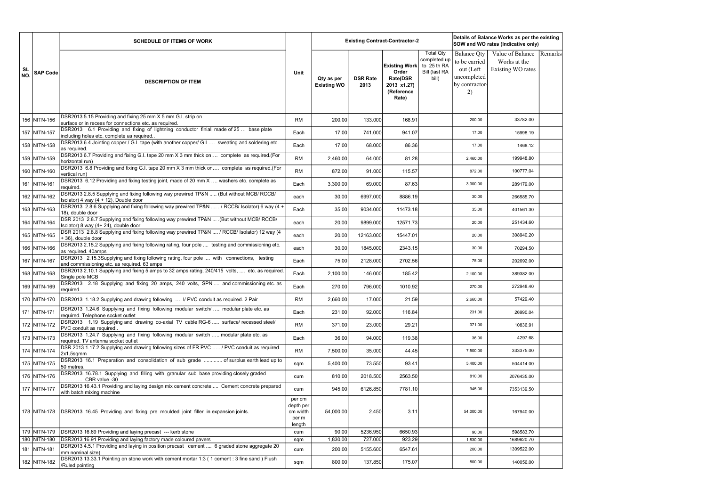|           |                              | <b>SCHEDULE OF ITEMS OF WORK</b>                                                                                                                              |                                                    |                                  |                         | <b>Existing Contract-Contractor-2</b>                                                  |                                                                           |                                                                                         | Details of Balance Works as per the existing<br>SOW and WO rates (Indicative only) |         |
|-----------|------------------------------|---------------------------------------------------------------------------------------------------------------------------------------------------------------|----------------------------------------------------|----------------------------------|-------------------------|----------------------------------------------------------------------------------------|---------------------------------------------------------------------------|-----------------------------------------------------------------------------------------|------------------------------------------------------------------------------------|---------|
| SL<br>NO. | <b>SAP Code</b>              | <b>DESCRIPTION OF ITEM</b>                                                                                                                                    | Unit                                               | Qty as per<br><b>Existing WO</b> | <b>DSR Rate</b><br>2013 | <b>Existing Work</b><br>Order<br><b>Rate(DSR</b><br>2013 x1.27)<br>(Reference<br>Rate) | <b>Total Qty</b><br>completed up<br>to 25 th RA<br>Bill (last RA<br>bill) | <b>Balance Qty</b><br>to be carried<br>out (Left<br>uncompleted<br>by contractor-<br>2) | Value of Balance<br>Works at the<br>Existing WO rates                              | Remarks |
|           | 156 NITN-156                 | DSR2013 5.15 Providing and fixing 25 mm X 5 mm G.I. strip on<br>surface or in recess for connections etc. as required.                                        | <b>RM</b>                                          | 200.00                           | 133.000                 | 168.91                                                                                 |                                                                           | 200.00                                                                                  | 33782.00                                                                           |         |
|           | 157 NITN-157                 | DSR2013 6.1 Providing and fixing of lightning conductor finial, made of 25  base plate<br>including holes etc. complete as required                           | Each                                               | 17.00                            | 741.000                 | 941.07                                                                                 |                                                                           | 17.00                                                                                   | 15998.19                                                                           |         |
|           | 158 NITN-158                 | DSR2013 6.4 Jointing copper / G.I. tape (with another copper/ G I  sweating and soldering etc.<br>as required.                                                | Each                                               | 17.00                            | 68.000                  | 86.36                                                                                  |                                                                           | 17.00                                                                                   | 1468.12                                                                            |         |
|           | 159 NITN-159                 | DSR2013 6.7 Providing and fixing G.I. tape 20 mm X 3 mm thick on complete as required.(For<br>horizontal run)                                                 | <b>RM</b>                                          | 2,460.00                         | 64.000                  | 81.28                                                                                  |                                                                           | 2,460.00                                                                                | 199948.80                                                                          |         |
|           | 160 NITN-160                 | DSR2013 6.8 Providing and fixing G.I. tape 20 mm X 3 mm thick on complete as required.(For<br>vertical run)                                                   | <b>RM</b>                                          | 872.00                           | 91.000                  | 115.57                                                                                 |                                                                           | 872.00                                                                                  | 100777.04                                                                          |         |
|           | 161 NITN-161                 | DSR2013 6.12 Providing and fixing testing joint, made of 20 mm X  washers etc. complete as<br>required.                                                       | Each                                               | 3,300.00                         | 69.000                  | 87.63                                                                                  |                                                                           | 3,300.00                                                                                | 289179.00                                                                          |         |
|           | 162 NITN-162                 | DSR2013 2.8.5 Supplying and fixing following way prewired TP&N  (But without MCB/ RCCB/<br>Isolator) 4 way (4 + 12), Double door                              | each                                               | 30.00                            | 6997.000                | 8886.19                                                                                |                                                                           | 30.00                                                                                   | 266585.70                                                                          |         |
|           | 163 NITN-163                 | DSR2013 2.8.6 Supplying and fixing following way prewired TP&N  / RCCB/ Isolator) 6 way (4 +<br>18), double door                                              | Each                                               | 35.00                            | 9034.000                | 11473.18                                                                               |                                                                           | 35.00                                                                                   | 401561.30                                                                          |         |
|           | 164 NITN-164                 | DSR 2013 2.8.7 Supplying and fixing following way prewired TP&N  . (But without MCB/ RCCB/<br>Isolator) 8 way (4+24), double door                             | each                                               | 20.00                            | 9899.000                | 12571.73                                                                               |                                                                           | 20.00                                                                                   | 251434.60                                                                          |         |
|           | 165 NITN-165                 | DSR 2013 2.8.8 Supplying and fixing following way prewired TP&N  / RCCB/ Isolator) 12 way (4<br>+36), double door                                             | each                                               | 20.00                            | 12163.000               | 15447.01                                                                               |                                                                           | 20.00                                                                                   | 308940.20                                                                          |         |
|           | 166 NITN-166                 | DSR2013 2.15.2 Supplying and fixing following rating, four pole  testing and commissioning etc.<br>as required. 40amps                                        | each                                               | 30.00                            | 1845.000                | 2343.15                                                                                |                                                                           | 30.00                                                                                   | 70294.50                                                                           |         |
|           | 167 NITN-167                 | DSR2013 2.15.3Supplying and fixing following rating, four pole  with connections, testing<br>and commissioning etc. as required. 63 amps                      | Each                                               | 75.00                            | 2128.000                | 2702.56                                                                                |                                                                           | 75.00                                                                                   | 202692.00                                                                          |         |
|           | 168 NITN-168                 | DSR2013 2.10.1 Supplying and fixing 5 amps to 32 amps rating, 240/415 volts,  etc. as required.<br>Single pole MCB                                            | Each                                               | 2,100.00                         | 146.000                 | 185.42                                                                                 |                                                                           | 2,100.00                                                                                | 389382.00                                                                          |         |
|           | 169 NITN-169                 | DSR2013 2.18 Supplying and fixing 20 amps, 240 volts, SPN  and commissioning etc. as<br>required.                                                             | Each                                               | 270.00                           | 796.000                 | 1010.92                                                                                |                                                                           | 270.00                                                                                  | 272948.40                                                                          |         |
|           | 170  NITN-170                | <b>IDSR2013</b> 1.18.2 Supplying and drawing following  I/ PVC conduit as required. 2 Pair                                                                    | RM                                                 | 2,660.00                         | 17.000                  | 21.59                                                                                  |                                                                           | 2,660.00                                                                                | 57429.40                                                                           |         |
|           | 171 NITN-171                 | DSR2013 1.24.6 Supplying and fixing following modular switch/  modular plate etc. as<br>required. Telephone socket outlet                                     | Each                                               | 231.00                           | 92.000                  | 116.84                                                                                 |                                                                           | 231.00                                                                                  | 26990.04                                                                           |         |
|           | 172 NITN-172                 | DSR2013 1.19 Supplying and drawing co-axial TV cable RG-6  surface/ recessed steel/<br>PVC conduit as required                                                | <b>RM</b>                                          | 371.00                           | 23.000                  | 29.21                                                                                  |                                                                           | 371.00                                                                                  | 10836.91                                                                           |         |
|           | 173 NITN-173                 | DSR2013 1.24.7 Supplying and fixing following modular switch  modular plate etc. as<br>required. TV antenna socket outlet                                     | Each                                               | 36.00                            | 94.000                  | 119.38                                                                                 |                                                                           | 36.00                                                                                   | 4297.68                                                                            |         |
|           | 174 NITN-174                 | DSR 2013 1.17.2 Supplying and drawing following sizes of FR PVC  / PVC conduit as required.<br>2x1.5sqmm                                                      | <b>RM</b>                                          | 7,500.00                         | 35.000                  | 44.45                                                                                  |                                                                           | 7,500.00                                                                                | 333375.00                                                                          |         |
|           | 175 NITN-175                 | DSR2013 16.1 Preparation and consolidation of sub grade  of surplus earth lead up to<br>50 metres.                                                            | sqm                                                | 5,400.00                         | 73.550                  | 93.41                                                                                  |                                                                           | 5,400.00                                                                                | 504414.00                                                                          |         |
|           | 176 NITN-176                 | DSR2013 16.78.1 Supplying and filling with granular sub base providing closely graded<br>CBR value -30                                                        | cum                                                | 810.00                           | 2018.500                | 2563.50                                                                                |                                                                           | 810.00                                                                                  | 2076435.00                                                                         |         |
|           | 177 NITN-177                 | DSR2013 16.43.1 Providing and laying design mix cement concrete Cement concrete prepared<br>with batch mixing machine                                         | cum                                                | 945.00                           | 6126.850                | 7781.10                                                                                |                                                                           | 945.00                                                                                  | 7353139.50                                                                         |         |
|           | 178 NITN-178                 | DSR2013 16.45 Providing and fixing pre moulded joint filler in expansion joints.                                                                              | per cm<br>depth per<br>cm width<br>per m<br>length | 54,000.00                        | 2.450                   | 3.11                                                                                   |                                                                           | 54,000.00                                                                               | 167940.00                                                                          |         |
|           | 179 NITN-179                 | DSR2013 16.69 Providing and laying precast --- kerb stone                                                                                                     | cum                                                | 90.00                            | 5236.950                | 6650.93                                                                                |                                                                           | 90.00                                                                                   | 598583.70                                                                          |         |
|           | 180 NITN-180<br>181 NITN-181 | DSR2013 16.91 Providing and laying factory made coloured pavers<br>DSR2013 4.5.1 Providing and laying in position precast cement  6 graded stone aggregate 20 | sqm<br>cum                                         | 1,830.00<br>200.00               | 727.000<br>5155.600     | 923.29<br>6547.61                                                                      |                                                                           | 1,830.00<br>200.00                                                                      | 1689620.70<br>1309522.00                                                           |         |
|           | 182 NITN-182                 | mm nominal size)<br>DSR2013 13.33.1 Pointing on stone work with cement mortar 1:3 (1 cement : 3 fine sand ) Flush                                             | sqm                                                | 800.00                           | 137.850                 | 175.07                                                                                 |                                                                           | 800.00                                                                                  | 140056.00                                                                          |         |
|           |                              | /Ruled pointing                                                                                                                                               |                                                    |                                  |                         |                                                                                        |                                                                           |                                                                                         |                                                                                    |         |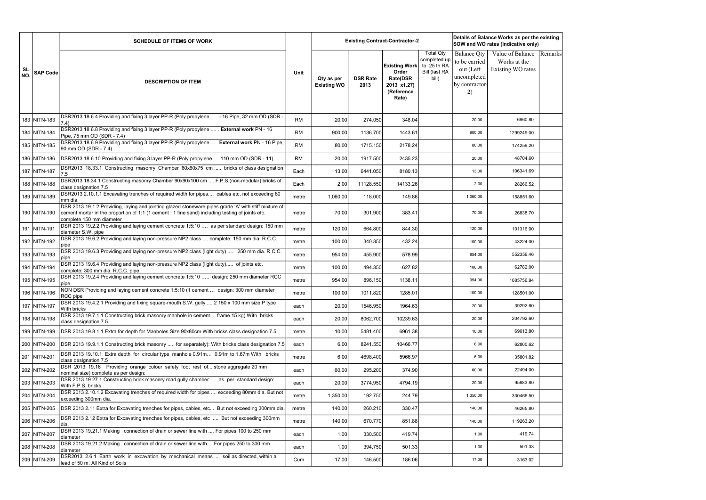|                  |                 | <b>SCHEDULE OF ITEMS OF WORK</b>                                                                                                                                                                                                      |           |                                  |                         | <b>Existing Contract-Contractor-2</b>                                                  |                                                                           |                                                                                         | Details of Balance Works as per the existing<br>SOW and WO rates (Indicative only) |         |
|------------------|-----------------|---------------------------------------------------------------------------------------------------------------------------------------------------------------------------------------------------------------------------------------|-----------|----------------------------------|-------------------------|----------------------------------------------------------------------------------------|---------------------------------------------------------------------------|-----------------------------------------------------------------------------------------|------------------------------------------------------------------------------------|---------|
| <b>SL</b><br>NO. | <b>SAP Code</b> | <b>DESCRIPTION OF ITEM</b>                                                                                                                                                                                                            | Unit      | Qty as per<br><b>Existing WO</b> | <b>DSR Rate</b><br>2013 | <b>Existing Work</b><br>Order<br><b>Rate(DSR</b><br>2013 x1.27)<br>(Reference<br>Rate) | <b>Total Qty</b><br>completed up<br>to 25 th RA<br>Bill (last RA<br>bill) | <b>Balance Qty</b><br>to be carried<br>out (Left<br>uncompleted<br>by contractor-<br>2) | Value of Balance<br>Works at the<br>Existing WO rates                              | Remarks |
|                  | 183 NITN-183    | DSR2013 18.6.4 Providing and fixing 3 layer PP-R (Poly propylene  - 16 Pipe, 32 mm OD (SDR -<br>7.4)                                                                                                                                  | <b>RM</b> | 20.00                            | 274.050                 | 348.04                                                                                 |                                                                           | 20.00                                                                                   | 6960.80                                                                            |         |
|                  | 184 NITN-184    | DSR2013 18.6.8 Providing and fixing 3 layer PP-R (Poly propylene  . External work PN - 16<br>Pipe, 75 mm OD (SDR - 7.4)                                                                                                               | <b>RM</b> | 900.00                           | 1136.700                | 1443.61                                                                                |                                                                           | 900.00                                                                                  | 1299249.00                                                                         |         |
|                  | 185 NITN-185    | DSR2013 18.6.9 Providing and fixing 3 layer PP-R (Poly propylene  . External work PN - 16 Pipe,<br>90 mm OD (SDR - 7.4)                                                                                                               | <b>RM</b> | 80.00                            | 1715.150                | 2178.24                                                                                |                                                                           | 80.00                                                                                   | 174259.20                                                                          |         |
|                  | 186 NITN-186    | DSR2013 18.6.10 Providing and fixing 3 layer PP-R (Poly propylene  110 mm OD (SDR - 11)                                                                                                                                               | <b>RM</b> | 20.00                            | 1917.500                | 2435.23                                                                                |                                                                           | 20.00                                                                                   | 48704.60                                                                           |         |
|                  | 187 NITN-187    | DSR2013 18.33.1 Constructing masonry Chamber 60x60x75 cm  bricks of class designation<br>7.5                                                                                                                                          | Each      | 13.00                            | 6441.050                | 8180.13                                                                                |                                                                           | 13.00                                                                                   | 106341.69                                                                          |         |
|                  | 188 NITN-188    | DSR2013 18.34.1 Constructing masonry Chamber 90x90x100 cm  F.P.S.(non-modular) bricks of<br>class designation 7.5                                                                                                                     | Each      | 2.00                             | 11128.550               | 14133.26                                                                               |                                                                           | 2.00                                                                                    | 28266.52                                                                           |         |
|                  | 189 NITN-189    | DSR2013 2.10.1.1 Excavating trenches of required width for pipes cables etc, not exceeding 80<br>mm dia.                                                                                                                              | metre     | 1,060.00                         | 118.000                 | 149.86                                                                                 |                                                                           | 1,060.00                                                                                | 158851.60                                                                          |         |
|                  | 190 NITN-190    | DSR 2013 19.1.2 Providing, laying and jointing glazed stoneware pipes grade 'A' with stiff mixture of<br>cement mortar in the proportion of 1:1 (1 cement : 1 fine sand) including testing of joints etc.<br>complete 150 mm diameter | metre     | 70.00                            | 301.900                 | 383.41                                                                                 |                                                                           | 70.00                                                                                   | 26838.70                                                                           |         |
|                  | 191 NITN-191    | DSR 2013 19.2.2 Providing and laying cement concrete 1:5:10  as per standard design: 150 mm<br>diameter S.W. pipe                                                                                                                     | metre     | 120.00                           | 664.800                 | 844.30                                                                                 |                                                                           | 120.00                                                                                  | 101316.00                                                                          |         |
|                  | 192 NITN-192    | DSR 2013 19.6.2 Providing and laying non-pressure NP2 class  complete: 150 mm dia. R.C.C.<br>pipe                                                                                                                                     | metre     | 100.00                           | 340.350                 | 432.24                                                                                 |                                                                           | 100.00                                                                                  | 43224.00                                                                           |         |
|                  | 193 NITN-193    | DSR 2013 19.6.3 Providing and laying non-pressure NP2 class (light duty)  250 mm dia. R.C.C.<br>pipe                                                                                                                                  | metre     | 954.00                           | 455.900                 | 578.99                                                                                 |                                                                           | 954.00                                                                                  | 552356.46                                                                          |         |
|                  | 194 NITN-194    | DSR 2013 19.6.4 Providing and laying non-pressure NP2 class (light duty) of joints etc.<br>complete: 300 mm dia. R.C.C. pipe                                                                                                          | metre     | 100.00                           | 494.350                 | 627.82                                                                                 |                                                                           | 100.00                                                                                  | 62782.00                                                                           |         |
|                  | 195 NITN-195    | DSR 2013 19.2.4 Providing and laying cement concrete 1:5:10  design: 250 mm diameter RCC<br>pipe                                                                                                                                      | metre     | 954.00                           | 896.150                 | 1138.11                                                                                |                                                                           | 954.00                                                                                  | 1085756.94                                                                         |         |
|                  | 196 NITN-196    | NON DSR Providing and laying cement concrete 1:5:10 (1 cement  design: 300 mm diameter<br>RCC pipe                                                                                                                                    | metre     | 100.00                           | 1011.820                | 1285.01                                                                                |                                                                           | 100.00                                                                                  | 128501.00                                                                          |         |
|                  | 197 NITN-197    | DSR 2013 19.4.2.1 Providing and fixing square-mouth S.W. gully  2 150 x 100 mm size P type<br>With bricks                                                                                                                             | each      | 20.00                            | 1546.950                | 1964.63                                                                                |                                                                           | 20.00                                                                                   | 39292.60                                                                           |         |
|                  | 198 NITN-198    | DSR 2013 19.7.1.1 Constructing brick masonry manhole in cement frame 15 kg) With bricks<br>class designation 7.5                                                                                                                      | each      | 20.00                            | 8062.700                | 10239.63                                                                               |                                                                           | 20.00                                                                                   | 204792.60                                                                          |         |
|                  | 199 NITN-199    | DSR 2013 19.8.1.1 Extra for depth for Manholes Size 90x80cm With bricks class designation 7.5                                                                                                                                         | metre     | 10.00                            | 5481.400                | 6961.38                                                                                |                                                                           | 10.00                                                                                   | 69613.80                                                                           |         |
|                  | 200 NITN-200    | DSR 2013 19.9.1.1 Constructing brick masonry  for separately): With bricks class designation 7.5                                                                                                                                      | each      | 6.00                             | 8241.550                | 10466.77                                                                               |                                                                           | 6.00                                                                                    | 62800.62                                                                           |         |
|                  | 201 NITN-201    | DSR 2013 19.10.1 Extra depth for circular type manhole 0.91m 0.91m to 1.67m With bricks<br>class designation 7.5                                                                                                                      | metre     | 6.00                             | 4698.400                | 5966.97                                                                                |                                                                           | 6.00                                                                                    | 35801.82                                                                           |         |
|                  | 202 NITN-202    | DSR 2013 19.16 Providing orange colour safety foot rest of stone aggregate 20 mm<br>nominal size) complete as per design:                                                                                                             | each      | 60.00                            | 295.200                 | 374.90                                                                                 |                                                                           | 60.00                                                                                   | 22494.00                                                                           |         |
|                  | 203 NITN-203    | DSR 2013 19.27.1 Constructing brick masonry road gully chamber  as per standard design:<br>With F.P.S. bricks                                                                                                                         | each      | 20.00                            | 3774.950                | 4794.19                                                                                |                                                                           | 20.00                                                                                   | 95883.80                                                                           |         |
|                  | 204 NITN-204    | DSR 2013 2.10.1.2 Excavating trenches of required width for pipes  exceeding 80mm dia. But not<br>exceeding 300mm dia.                                                                                                                | metre     | 1,350.00                         | 192.750                 | 244.79                                                                                 |                                                                           | 1,350.00                                                                                | 330466.50                                                                          |         |
|                  | 205 NITN-205    | DSR 2013 2.11 Extra for Excavating trenches for pipes, cables, etc But not exceeding 300mm dia.                                                                                                                                       | metre     | 140.00                           | 260.210                 | 330.47                                                                                 |                                                                           | 140.00                                                                                  | 46265.80                                                                           |         |
|                  | 206 NITN-206    | DSR 2013 2.12 Extra for Excavating trenches for pipes, cables, etc  But not exceeding 300mm<br>Idia.                                                                                                                                  | metre     | 140.00                           | 670.770                 | 851.88                                                                                 |                                                                           | 140.00                                                                                  | 119263.20                                                                          |         |
|                  | 207 NITN-207    | DSR 2013 19.21.1 Making connection of drain or sewer line with  For pipes 100 to 250 mm<br>diameter                                                                                                                                   | each      | 1.00                             | 330.500                 | 419.74                                                                                 |                                                                           | 1.00                                                                                    | 419.74                                                                             |         |
|                  | 208 NITN-208    | DSR 2013 19.21.2 Making connection of drain or sewer line with For pipes 250 to 300 mm<br>diameter                                                                                                                                    | each      | 1.00                             | 394.750                 | 501.33                                                                                 |                                                                           | 1.00                                                                                    | 501.33                                                                             |         |
|                  | 209 NITN-209    | DSR2013 2.6.1 Earth work in excavation by mechanical means  soil as directed, within a<br>lead of 50 m. All Kind of Soils                                                                                                             | Cum       | 17.00                            | 146.500                 | 186.06                                                                                 |                                                                           | 17.00                                                                                   | 3163.02                                                                            |         |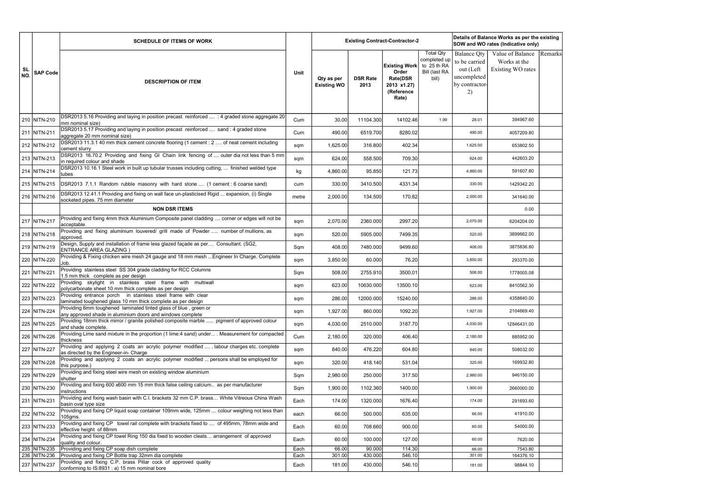|           |                              | <b>SCHEDULE OF ITEMS OF WORK</b>                                                                                                    |              |                                  |                         | <b>Existing Contract-Contractor-2</b>                                                  |                                                                                  |                                                                                         | Details of Balance Works as per the existing<br>SOW and WO rates (Indicative only) |         |
|-----------|------------------------------|-------------------------------------------------------------------------------------------------------------------------------------|--------------|----------------------------------|-------------------------|----------------------------------------------------------------------------------------|----------------------------------------------------------------------------------|-----------------------------------------------------------------------------------------|------------------------------------------------------------------------------------|---------|
| SL<br>NO. | <b>SAP Code</b>              | <b>DESCRIPTION OF ITEM</b>                                                                                                          | Unit         | Qty as per<br><b>Existing WO</b> | <b>DSR Rate</b><br>2013 | <b>Existing Work</b><br>Order<br><b>Rate(DSR</b><br>2013 x1.27)<br>(Reference<br>Rate) | <b>Total Qty</b><br>completed up<br>to 25 th RA<br><b>Bill (last RA</b><br>bill) | <b>Balance Qty</b><br>to be carried<br>out (Left<br>uncompleted<br>by contractor-<br>2) | Value of Balance<br>Works at the<br>Existing WO rates                              | Remarks |
|           | 210 NITN-210                 | DSR2013 5.16 Providing and laying in position precast reinforced  : 4 graded stone aggregate 20<br>mm nominal size)                 | Cum          | 30.00                            | 11104.300               | 14102.46                                                                               | 1.99                                                                             | 28.01                                                                                   | 394967.60                                                                          |         |
|           | 211 NITN-211                 | DSR2013 5.17 Providing and laying in position precast reinforced  sand : 4 graded stone<br>aggregate 20 mm nominal size)            | Cum          | 490.00                           | 6519.700                | 8280.02                                                                                |                                                                                  | 490.00                                                                                  | 4057209.80                                                                         |         |
|           | 212 NITN-212                 | DSR2013 11.3.1 40 mm thick cement concrete flooring (1 cement : 2  of neat cement including<br>cement slurry                        | sqm          | 1,625.00                         | 316.800                 | 402.34                                                                                 |                                                                                  | 1,625.00                                                                                | 653802.50                                                                          |         |
|           | 213 NITN-213                 | DSR2013 16.70.2 Providing and fixing GI Chain link fencing of  outer dia not less than 5 mm<br>in required colour and shade         | sqm          | 624.00                           | 558.500                 | 709.30                                                                                 |                                                                                  | 624.00                                                                                  | 442603.20                                                                          |         |
|           | 214 NITN-214                 | DSR2013 10.16.1 Steel work in built up tubular trusses including cutting,  finished welded type<br>tubes                            | kg           | 4,860.00                         | 95.850                  | 121.73                                                                                 |                                                                                  | 4,860.00                                                                                | 591607.80                                                                          |         |
|           | 215 NITN-215                 | DSR2013 7.1.1 Random rubble masonry with hard stone  (1 cement : 6 coarse sand)                                                     | cum          | 330.00                           | 3410.500                | 4331.34                                                                                |                                                                                  | 330.00                                                                                  | 1429342.20                                                                         |         |
|           | 216 NITN-216                 | DSR2013 12.41.1 Providing and fixing on wall face un-plasticised Rigid  expansion, (i) Single<br>socketed pipes. 75 mm diameter     | metre        | 2,000.00                         | 134.500                 | 170.82                                                                                 |                                                                                  | 2,000.00                                                                                | 341640.00                                                                          |         |
|           |                              | <b>NON DSR ITEMS</b>                                                                                                                |              |                                  |                         |                                                                                        |                                                                                  |                                                                                         | 0.00                                                                               |         |
|           | 217 NITN-217                 | Providing and fixing 4mm thick Aluminium Composite panel cladding  corner or edges will not be<br>acceptable.                       | sqm          | 2,070.00                         | 2360.000                | 2997.20                                                                                |                                                                                  | 2,070.00                                                                                | 6204204.00                                                                         |         |
|           | 218 NITN-218                 | Providing and fixing aluminium louvered/ grill made of Powder  number of mullions, as<br>approved                                   | sqm          | 520.00                           | 5905.000                | 7499.35                                                                                |                                                                                  | 520.00                                                                                  | 3899662.00                                                                         |         |
|           | 219 NITN-219                 | Design, Supply and installation of frame less glazed façade as per Consultant. (SG2,<br><b>ENTRANCE AREA GLAZING</b> )              | Sqm          | 408.00                           | 7480.000                | 9499.60                                                                                |                                                                                  | 408.00                                                                                  | 3875836.80                                                                         |         |
|           | 220 NITN-220                 | Providing & Fixing chicken wire mesh 24 gauge and 18 mm mesh  Engineer In Charge. Complete<br>Job.                                  | sqm          | 3,850.00                         | 60.000                  | 76.20                                                                                  |                                                                                  | 3,850.00                                                                                | 293370.00                                                                          |         |
|           | 221 NITN-221                 | Providing stainless steel SS 304 grade cladding for RCC Columns<br>1.5 mm thick complete as per design                              | Sqm          | 508.00                           | 2755.910                | 3500.01                                                                                |                                                                                  | 508.00                                                                                  | 1778005.08                                                                         |         |
|           | 222 NITN-222                 | Providing skylight in stainless steel frame with multiwall<br>polycarbonate sheet 10 mm thick complete as per design                | sqm          | 623.00                           | 10630.000               | 13500.10                                                                               |                                                                                  | 623.00                                                                                  | 8410562.30                                                                         |         |
|           | 223 NITN-223                 | Providing entrance porch in stainless steel frame with clear<br>laminated toughened glass 10 mm thick complete as per design        | sqm          | 286.00                           | 12000.000               | 15240.00                                                                               |                                                                                  | 286.00                                                                                  | 4358640.00                                                                         |         |
|           | 224 NITN-224                 | Providing 6mm toughened laminated tinted glass of blue, green or<br>any approved shade in aluminium doors and windows complete      | sqm          | 1,927.00                         | 860.000                 | 1092.20                                                                                |                                                                                  | 1,927.00                                                                                | 2104669.40                                                                         |         |
|           | 225 NITN-225                 | Providing 18mm thick mirror / granite polished composite marble  pigment of approved colour<br>and shade complete.                  | sqm          | 4,030.00                         | 2510.000                | 3187.70                                                                                |                                                                                  | 4,030.00                                                                                | 12846431.00                                                                        |         |
|           | 226 NITN-226                 | Providing Lime sand mixture in the proportion (1 lime:4 sand) under . Measurement for compacted<br>thickness                        | Cum          | 2,180.00                         | 320.000                 | 406.40                                                                                 |                                                                                  | 2,180.00                                                                                | 885952.00                                                                          |         |
|           | 227 NITN-227                 | Providing and applying 2 coats an acrylic polymer modified , labour charges etc. complete<br>as directed by the Engineer-in- Charge | sqm          | 840.00                           | 476.220                 | 604.80                                                                                 |                                                                                  | 840.00                                                                                  | 508032.00                                                                          |         |
|           | 228 NITN-228                 | Providing and applying 2 coats an acrylic polymer modified  persons shall be employed for<br>this purpose.)                         | sqm          | 320.00                           | 418.140                 | 531.04                                                                                 |                                                                                  | 320.00                                                                                  | 169932.80                                                                          |         |
|           | 229 NITN-229                 | Providing and fixing steel wire mesh on existing window aluminium<br>shutter                                                        | Sqm          | 2,980.00                         | 250.000                 | 317.50                                                                                 |                                                                                  | 2,980.00                                                                                | 946150.00                                                                          |         |
|           | 230 NITN-230                 | Providing and fixing 600 x600 mm 15 mm thick false ceiling calcium as per manufacturer<br>instructions                              | Sqm          | 1,900.00                         | 1102.360                | 1400.00                                                                                |                                                                                  | 1,900.00                                                                                | 2660000.00                                                                         |         |
|           | 231 NITN-231                 | Providing and fixing wash basin with C.I. brackets 32 mm C.P. brass White Vitreous China Wash<br>basin oval type size               | Each         | 174.00                           | 1320.000                | 1676.40                                                                                |                                                                                  | 174.00                                                                                  | 291693.60                                                                          |         |
|           | 232 NITN-232                 | Providing and fixing CP liquid soap container 109mm wide, 125mm  colour weighing not less than<br>105gms.                           | each         | 66.00                            | 500.000                 | 635.00                                                                                 |                                                                                  | 66.00                                                                                   | 41910.00                                                                           |         |
|           | 233 NITN-233                 | Providing and fixing CP towel rail complete with brackets fixed to  of 495mm, 78mm wide and<br>effective height of 88mm             | Each         | 60.00                            | 708.660                 | 900.00                                                                                 |                                                                                  | 60.00                                                                                   | 54000.00                                                                           |         |
|           | 234 NITN-234                 | Providing and fixing CP towel Ring 150 dia fixed to wooden cleats arrangement of approved<br>quality and colour.                    | Each         | 60.00                            | 100.000                 | 127.00                                                                                 |                                                                                  | 60.00                                                                                   | 7620.00                                                                            |         |
|           | 235 NITN-235<br>236 NITN-236 | Providing and fixing CP soap dish complete<br>Providing and fixing CP Bottle trap 32mm dia complete                                 | Each<br>Each | 66.00<br>301.00                  | 90.000<br>430.000       | 114.30<br>546.10                                                                       |                                                                                  | 66.00<br>301.00                                                                         | 7543.80<br>164376.10                                                               |         |
|           | 237 NITN-237                 | Providing and fixing C.P. brass Pillar cock of approved quality<br>conforming to IS:8931 : a) 15 mm nominal bore                    | Each         | 181.00                           | 430.000                 | 546.10                                                                                 |                                                                                  | 181.00                                                                                  | 98844.10                                                                           |         |
|           |                              |                                                                                                                                     |              |                                  |                         |                                                                                        |                                                                                  |                                                                                         |                                                                                    |         |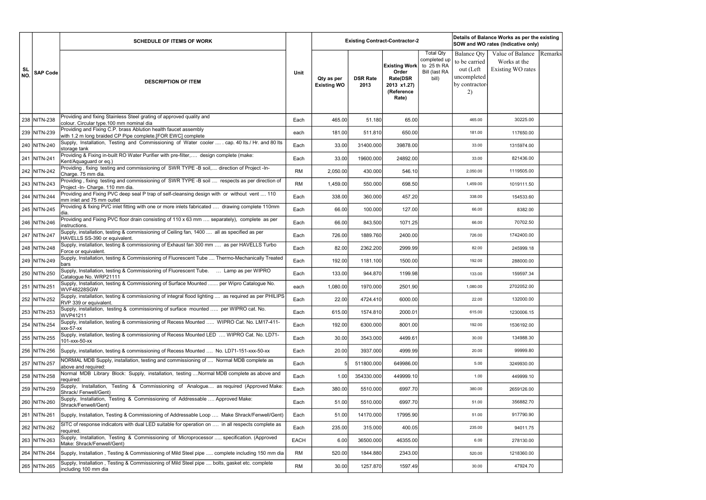|                  |                 | <b>SCHEDULE OF ITEMS OF WORK</b>                                                                                                  |           |                                  |                         | <b>Existing Contract-Contractor-2</b>                                                  |                                                                           |                                                                                         | Details of Balance Works as per the existing<br>SOW and WO rates (Indicative only) |         |
|------------------|-----------------|-----------------------------------------------------------------------------------------------------------------------------------|-----------|----------------------------------|-------------------------|----------------------------------------------------------------------------------------|---------------------------------------------------------------------------|-----------------------------------------------------------------------------------------|------------------------------------------------------------------------------------|---------|
| <b>SL</b><br>NO. | <b>SAP Code</b> | <b>DESCRIPTION OF ITEM</b>                                                                                                        | Unit      | Qty as per<br><b>Existing WO</b> | <b>DSR Rate</b><br>2013 | <b>Existing Work</b><br>Order<br><b>Rate(DSR</b><br>2013 x1.27)<br>(Reference<br>Rate) | <b>Total Qty</b><br>completed up<br>to 25 th RA<br>Bill (last RA<br>bill) | <b>Balance Qty</b><br>to be carried<br>out (Left<br>uncompleted<br>by contractor-<br>2) | Value of Balance<br>Works at the<br>Existing WO rates                              | Remarks |
|                  | 238 NITN-238    | Providing and fixing Stainless Steel grating of approved quality and<br>colour. Circular type.100 mm nominal dia                  | Each      | 465.00                           | 51.180                  | 65.00                                                                                  |                                                                           | 465.00                                                                                  | 30225.00                                                                           |         |
|                  | 239 NITN-239    | Providing and Fixing C.P. brass Ablution health faucet assembly<br>with 1.2 m long braided CP Pipe complete.[FOR EWC] complete    | each      | 181.00                           | 511.810                 | 650.00                                                                                 |                                                                           | 181.00                                                                                  | 117650.00                                                                          |         |
|                  | 240 NITN-240    | Supply, Installation, Testing and Commissioning of Water cooler  . cap. 40 lts./ Hr. and 80 lts<br>storage tank                   | Each      | 33.00                            | 31400.000               | 39878.00                                                                               |                                                                           | 33.00                                                                                   | 1315974.00                                                                         |         |
|                  | 241 NITN-241    | Providing & Fixing in-built RO Water Purifier with pre-filter, design complete (make:<br>Kent/Aquaguard or eq.)                   | Each      | 33.00                            | 19600.000               | 24892.00                                                                               |                                                                           | 33.00                                                                                   | 821436.00                                                                          |         |
|                  | 242 NITN-242    | Providing, fixing testing and commissioning of SWR TYPE -B soil, direction of Project -In-<br>Charge. 75 mm dia.                  | <b>RM</b> | 2,050.00                         | 430.000                 | 546.10                                                                                 |                                                                           | 2,050.00                                                                                | 1119505.00                                                                         |         |
|                  | 243 NITN-243    | Providing, fixing testing and commissioning of SWR TYPE -B soil  respects as per direction of<br>Project -In- Charge. 110 mm dia. | <b>RM</b> | 1,459.00                         | 550.000                 | 698.50                                                                                 |                                                                           | 1,459.00                                                                                | 1019111.50                                                                         |         |
|                  | 244 NITN-244    | Providing and Fixing PVC deep seal P trap of self-cleansing design with or without vent  110<br>mm inlet and 75 mm outlet         | Each      | 338.00                           | 360.000                 | 457.20                                                                                 |                                                                           | 338.00                                                                                  | 154533.60                                                                          |         |
|                  | 245 NITN-245    | Providing & fixing PVC inlet fitting with one or more inlets fabricated  drawing complete 110mm<br>dia.                           | Each      | 66.00                            | 100.000                 | 127.00                                                                                 |                                                                           | 66.00                                                                                   | 8382.00                                                                            |         |
|                  | 246 NITN-246    | Providing and Fixing PVC floor drain consisting of 110 x 63 mm  separately), complete as per<br>instructions.                     | Each      | 66.00                            | 843.500                 | 1071.25                                                                                |                                                                           | 66.00                                                                                   | 70702.50                                                                           |         |
|                  | 247 NITN-247    | Supply, installation, testing & commissioning of Ceiling fan, 1400  all as specified as per<br>HAVELLS SS-390 or equivalent.      | Each      | 726.00                           | 1889.760                | 2400.00                                                                                |                                                                           | 726.00                                                                                  | 1742400.00                                                                         |         |
|                  | 248 NITN-248    | Supply, installation, testing & commissioning of Exhaust fan 300 mm  as per HAVELLS Turbo<br>Force or equivalent.                 | Each      | 82.00                            | 2362.200                | 2999.99                                                                                |                                                                           | 82.00                                                                                   | 245999.18                                                                          |         |
|                  | 249 NITN-249    | Supply, Installation, testing & Commissioning of Fluorescent Tube  Thermo-Mechanically Treated<br>bars                            | Each      | 192.00                           | 1181.100                | 1500.00                                                                                |                                                                           | 192.00                                                                                  | 288000.00                                                                          |         |
|                  | 250 NITN-250    | Supply, Installation, testing & Commissioning of Fluorescent Tube.  Lamp as per WIPRO<br>Catalogue No. WRP21111                   | Each      | 133.00                           | 944.870                 | 1199.98                                                                                |                                                                           | 133.00                                                                                  | 159597.34                                                                          |         |
|                  | 251 NITN-251    | Supply, Installation, testing & Commissioning of Surface Mounted  per Wipro Catalogue No.<br><b>WVF48228SGW</b>                   | each      | 1,080.00                         | 1970.000                | 2501.90                                                                                |                                                                           | 1,080.00                                                                                | 2702052.00                                                                         |         |
|                  | 252 NITN-252    | Supply, installation, testing & commissioning of integral flood lighting  as required as per PHILIPS<br>RVP 339 or equivalent.    | Each      | 22.00                            | 4724.410                | 6000.00                                                                                |                                                                           | 22.00                                                                                   | 132000.00                                                                          |         |
|                  | 253 NITN-253    | Supply, installation, testing & commissioning of surface mounted  per WIPRO cat. No.<br>WVP41211                                  | Each      | 615.00                           | 1574.810                | 2000.01                                                                                |                                                                           | 615.00                                                                                  | 1230006.15                                                                         |         |
|                  | 254 NITN-254    | Supply, installation, testing & commissioning of Recess Mounted  WIPRO Cat. No. LM17-411-<br>xxx-57-xx                            | Each      | 192.00                           | 6300.000                | 8001.00                                                                                |                                                                           | 192.00                                                                                  | 1536192.00                                                                         |         |
|                  | 255 NITN-255    | Supply, installation, testing & commissioning of Recess Mounted LED  WIPRO Cat. No. LD71-<br>101-xxx-50-xx                        | Each      | 30.00                            | 3543.000                | 4499.61                                                                                |                                                                           | 30.00                                                                                   | 134988.30                                                                          |         |
|                  | 256 NITN-256    | Supply, installation, testing & commissioning of Recess Mounted  No. LD71-151-xxx-50-xx                                           | Each      | 20.00                            | 3937.000                | 4999.99                                                                                |                                                                           | 20.00                                                                                   | 99999.80                                                                           |         |
|                  | 257 NITN-257    | NORMAL MDB Supply, installation, testing and commissioning of  Normal MDB complete as<br>above and required:                      | Each      |                                  | 511800.000              | 649986.00                                                                              |                                                                           | 5.00                                                                                    | 3249930.00                                                                         |         |
|                  | 258 NITN-258    | Normal MDB Library Block: Supply, installation, testing Normal MDB complete as above and<br>required:                             | Each      | 1.00                             | 354330.000              | 449999.10                                                                              |                                                                           | 1.00                                                                                    | 449999.10                                                                          |         |
|                  | 259 NITN-259    | Supply, Installation, Testing & Commissioning of Analogue as required (Approved Make:<br>Shrack/ Fenwell/Gent)                    | Each      | 380.00                           | 5510.000                | 6997.70                                                                                |                                                                           | 380.00                                                                                  | 2659126.00                                                                         |         |
|                  | 260 NITN-260    | Supply, Installation, Testing & Commissioning of Addressable  Approved Make:<br>Shrack/Fenwell/Gent)                              | Each      | 51.00                            | 5510.000                | 6997.70                                                                                |                                                                           | 51.00                                                                                   | 356882.70                                                                          |         |
|                  | 261 NITN-261    | Supply, Installation, Testing & Commissioning of Addressable Loop  Make Shrack/Fenwell/Gent)                                      | Each      | 51.00                            | 14170.000               | 17995.90                                                                               |                                                                           | 51.00                                                                                   | 917790.90                                                                          |         |
|                  | 262 NITN-262    | SITC of response indicators with dual LED suitable for operation on  in all respects complete as<br>required.                     | Each      | 235.00                           | 315.000                 | 400.05                                                                                 |                                                                           | 235.00                                                                                  | 94011.75                                                                           |         |
|                  | 263 NITN-263    | Supply, Installation, Testing & Commissioning of Microprocessor  specification. (Approved<br>Make: Shrack/Fenwell/Gent)           | EACH      | 6.00                             | 36500.000               | 46355.00                                                                               |                                                                           | 6.00                                                                                    | 278130.00                                                                          |         |
|                  | 264 NITN-264    | Supply, Installation, Testing & Commissioning of Mild Steel pipe  complete including 150 mm dia                                   | <b>RM</b> | 520.00                           | 1844.880                | 2343.00                                                                                |                                                                           | 520.00                                                                                  | 1218360.00                                                                         |         |
|                  | 265 NITN-265    | Supply, Installation, Testing & Commissioning of Mild Steel pipe  bolts, gasket etc. complete<br>including 100 mm dia             | <b>RM</b> | 30.00                            | 1257.870                | 1597.49                                                                                |                                                                           | 30.00                                                                                   | 47924.70                                                                           |         |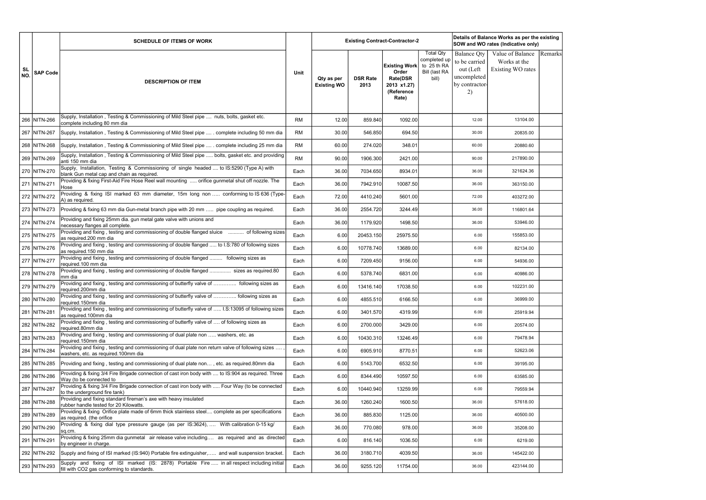|           |                 | <b>SCHEDULE OF ITEMS OF WORK</b>                                                                                                         |           |                                  |                         | <b>Existing Contract-Contractor-2</b>                                                  | Details of Balance Works as per the existing<br>SOW and WO rates (Indicative only)<br><b>Total Qty</b><br>Value of Balance<br><b>Balance Qty</b><br>completed up<br>to be carried<br>Works at the |                                                  |                   |         |
|-----------|-----------------|------------------------------------------------------------------------------------------------------------------------------------------|-----------|----------------------------------|-------------------------|----------------------------------------------------------------------------------------|---------------------------------------------------------------------------------------------------------------------------------------------------------------------------------------------------|--------------------------------------------------|-------------------|---------|
| SL<br>NO. | <b>SAP Code</b> | <b>DESCRIPTION OF ITEM</b>                                                                                                               | Unit      | Qty as per<br><b>Existing WO</b> | <b>DSR Rate</b><br>2013 | <b>Existing Work</b><br>Order<br><b>Rate(DSR</b><br>2013 x1.27)<br>(Reference<br>Rate) | to 25 th RA<br><b>Bill (last RA</b><br>bill)                                                                                                                                                      | out (Left<br>uncompleted<br>by contractor-<br>2) | Existing WO rates | Remarks |
|           | 266 NITN-266    | Supply, Installation, Testing & Commissioning of Mild Steel pipe  nuts, bolts, gasket etc.<br>complete including 80 mm dia               | <b>RM</b> | 12.00                            | 859.840                 | 1092.00                                                                                |                                                                                                                                                                                                   | 12.00                                            | 13104.00          |         |
|           | 267 NITN-267    | Supply, Installation, Testing & Commissioning of Mild Steel pipe  . complete including 50 mm dia                                         | <b>RM</b> | 30.00                            | 546.850                 | 694.50                                                                                 |                                                                                                                                                                                                   | 30.00                                            | 20835.00          |         |
|           | 268 NITN-268    | Supply, Installation, Testing & Commissioning of Mild Steel pipe  . complete including 25 mm dia                                         | <b>RM</b> | 60.00                            | 274.020                 | 348.01                                                                                 |                                                                                                                                                                                                   | 60.00                                            | 20880.60          |         |
|           | 269 NITN-269    | Supply, Installation, Testing & Commissioning of Mild Steel pipe  bolts, gasket etc. and providing<br>anti 150 mm dia                    | <b>RM</b> | 90.00                            | 1906.300                | 2421.00                                                                                |                                                                                                                                                                                                   | 90.00                                            | 217890.00         |         |
|           | 270 NITN-270    | Supply, Installation, Testing & Commissioning of single headed  to IS:5290 (Type A) with<br>blank Gun metal cap and chain as required.   | Each      | 36.00                            | 7034.650                | 8934.01                                                                                |                                                                                                                                                                                                   | 36.00                                            | 321624.36         |         |
|           | 271 NITN-271    | Providing & fixing First-Aid Fire Hose Reel wall mounting  orifice gunmetal shut off nozzle. The<br>Hose                                 | Each      | 36.00                            | 7942.910                | 10087.50                                                                               |                                                                                                                                                                                                   | 36.00                                            | 363150.00         |         |
|           | 272 NITN-272    | Providing & fixing ISI marked 63 mm diameter, 15m long non  conforming to IS 636 (Type-<br>A) as required.                               | Each      | 72.00                            | 4410.240                | 5601.00                                                                                |                                                                                                                                                                                                   | 72.00                                            | 403272.00         |         |
|           | 273 NITN-273    | Providing & fixing 63 mm dia Gun-metal branch pipe with 20 mm  pipe coupling as required.                                                | Each      | 36.00                            | 2554.720                | 3244.49                                                                                |                                                                                                                                                                                                   | 36.00                                            | 116801.64         |         |
|           | 274 NITN-274    | Providing and fixing 25mm dia. gun metal gate valve with unions and<br>necessary flanges all complete.                                   | Each      | 36.00                            | 1179.920                | 1498.50                                                                                |                                                                                                                                                                                                   | 36.00                                            | 53946.00          |         |
|           | 275 NITN-275    | Providing and fixing, testing and commissioning of double flanged sluice  of following sizes<br>as required.200 mm dia                   | Each      | 6.00                             | 20453.150               | 25975.50                                                                               |                                                                                                                                                                                                   | 6.00                                             | 155853.00         |         |
|           | 276 NITN-276    | Providing and fixing, testing and commissioning of double flanged  to I.S:780 of following sizes<br>as required.150 mm dia               | Each      | 6.00                             | 10778.740               | 13689.00                                                                               |                                                                                                                                                                                                   | 6.00                                             | 82134.00          |         |
|           | 277 NITN-277    | Providing and fixing, testing and commissioning of double flanged  following sizes as<br>required.100 mm dia                             | Each      | 6.00                             | 7209.450                | 9156.00                                                                                |                                                                                                                                                                                                   | 6.00                                             | 54936.00          |         |
|           | 278 NITN-278    | Providing and fixing, testing and commissioning of double flanged  sizes as required.80<br>mm dia                                        | Each      | 6.00                             | 5378.740                | 6831.00                                                                                |                                                                                                                                                                                                   | 6.00                                             | 40986.00          |         |
|           | 279 NITN-279    | Providing and fixing, testing and commissioning of butterfly valve of  following sizes as<br>required.200mm dia                          | Each      | 6.00                             | 13416.140               | 17038.50                                                                               |                                                                                                                                                                                                   | 6.00                                             | 102231.00         |         |
|           | 280   NITN-280  | Providing and fixing, testing and commissioning of butterfly valve of  following sizes as<br>required.150mm dia                          | Each      | 6.00                             | 4855.510                | 6166.50                                                                                |                                                                                                                                                                                                   | 6.00                                             | 36999.00          |         |
|           | 281 NITN-281    | Providing and fixing, testing and commissioning of butterfly valve of  I.S:13095 of following sizes<br>as required.100mm dia             | Each      | 6.00                             | 3401.570                | 4319.99                                                                                |                                                                                                                                                                                                   | 6.00                                             | 25919.94          |         |
|           | 282 NITN-282    | Providing and fixing, testing and commissioning of butterfly valve of  of following sizes as<br>required.80mm dia                        | Each      | 6.00                             | 2700.000                | 3429.00                                                                                |                                                                                                                                                                                                   | 6.00                                             | 20574.00          |         |
|           | 283 NITN-283    | Providing and fixing, testing and commissioning of dual plate non  washers, etc. as<br>required.150mm dia                                | Each      | 6.00                             | 10430.310               | 13246.49                                                                               |                                                                                                                                                                                                   | 6.00                                             | 79478.94          |         |
|           | 284 NITN-284    | Providing and fixing, testing and commissioning of dual plate non return valve of following sizes<br>washers, etc. as required.100mm dia | Each      | 6.00                             | 6905.910                | 8770.51                                                                                |                                                                                                                                                                                                   | 6.00                                             | 52623.06          |         |
|           | 285 NITN-285    | Providing and fixing, testing and commissioning of dual plate non, etc. as required.80mm dia                                             | Each      | 6.00                             | 5143.700                | 6532.50                                                                                |                                                                                                                                                                                                   | 6.00                                             | 39195.00          |         |
|           | 286 NITN-286    | Providing & fixing 3/4 Fire Brigade connection of cast iron body with  to IS:904 as required. Three<br>Way (to be connected to           | Each      | 6.00                             | 8344.490                | 10597.50                                                                               |                                                                                                                                                                                                   | 6.00                                             | 63585.00          |         |
|           | 287 NITN-287    | Providing & fixing 3/4 Fire Brigade connection of cast iron body with  Four Way (to be connected<br>to the underground fire tank)        | Each      | 6.00                             | 10440.940               | 13259.99                                                                               |                                                                                                                                                                                                   | 6.00                                             | 79559.94          |         |
|           | 288 NITN-288    | Providing and fixing standard fireman's axe with heavy insulated<br>rubber handle tested for 20 Kilowatts.                               | Each      | 36.00                            | 1260.240                | 1600.50                                                                                |                                                                                                                                                                                                   | 36.00                                            | 57618.00          |         |
|           | 289 NITN-289    | Providing & fixing Orifice plate made of 6mm thick stainless steel complete as per specifications<br>as required. (the orifice           | Each      | 36.00                            | 885.830                 | 1125.00                                                                                |                                                                                                                                                                                                   | 36.00                                            | 40500.00          |         |
|           | 290 NITN-290    | Providing & fixing dial type pressure gauge (as per IS:3624),  With calibration 0-15 kg/<br>sq.cm.                                       | Each      | 36.00                            | 770.080                 | 978.00                                                                                 |                                                                                                                                                                                                   | 36.00                                            | 35208.00          |         |
|           | 291 NITN-291    | Providing & fixing 25mm dia gunmetal air release valve including as required and as directed<br>by engineer in charge.                   | Each      | 6.00                             | 816.140                 | 1036.50                                                                                |                                                                                                                                                                                                   | 6.00                                             | 6219.00           |         |
|           | 292 NITN-292    | Supply and fixing of ISI marked (IS:940) Portable fire extinguisher, and wall suspension bracket.                                        | Each      | 36.00                            | 3180.710                | 4039.50                                                                                |                                                                                                                                                                                                   | 36.00                                            | 145422.00         |         |
|           | 293 NITN-293    | Supply and fixing of ISI marked (IS: 2878) Portable Fire  in all respect including initial<br>fill with CO2 gas conforming to standards. | Each      | 36.00                            | 9255.120                | 11754.00                                                                               |                                                                                                                                                                                                   | 36.00                                            | 423144.00         |         |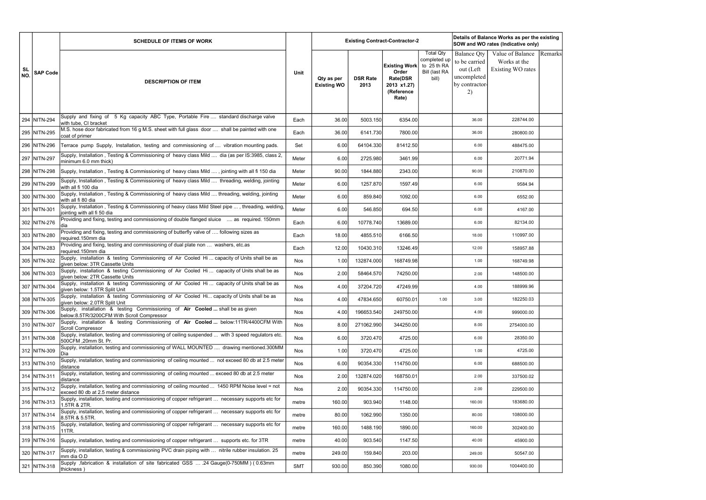|                        |                 | <b>SCHEDULE OF ITEMS OF WORK</b>                                                                                                     |            |                                  |                         | Details of Balance Works as per the existing<br><b>Existing Contract-Contractor-2</b><br>SOW and WO rates (Indicative only)<br><b>Total Qty</b><br>Value of Balance<br><b>Balance Qty</b><br>completed up |                                       |                                                                   |                                   |         |
|------------------------|-----------------|--------------------------------------------------------------------------------------------------------------------------------------|------------|----------------------------------|-------------------------|-----------------------------------------------------------------------------------------------------------------------------------------------------------------------------------------------------------|---------------------------------------|-------------------------------------------------------------------|-----------------------------------|---------|
| <b>SL</b><br><b>NO</b> | <b>SAP Code</b> | <b>DESCRIPTION OF ITEM</b>                                                                                                           | Unit       | Qty as per<br><b>Existing WO</b> | <b>DSR Rate</b><br>2013 | <b>Existing Work</b><br>Order<br><b>Rate(DSR</b><br>2013 x1.27)<br>(Reference<br>Rate)                                                                                                                    | to 25 th RA<br>Bill (last RA<br>bill) | to be carried<br>out (Left<br>uncompleted<br>by contractor-<br>2) | Works at the<br>Existing WO rates | Remarks |
|                        | 294 NITN-294    | Supply and fixing of 5 Kg capacity ABC Type, Portable Fire  standard discharge valve<br>with tube, CI bracket                        | Each       | 36.00                            | 5003.150                | 6354.00                                                                                                                                                                                                   |                                       | 36.00                                                             | 228744.00                         |         |
|                        | 295 NITN-295    | M.S. hose door fabricated from 16 g M.S. sheet with full glass door  shall be painted with one<br>coat of primer                     | Each       | 36.00                            | 6141.730                | 7800.00                                                                                                                                                                                                   |                                       | 36.00                                                             | 280800.00                         |         |
|                        | 296 NITN-296    | Terrace pump Supply, Installation, testing and commissioning of  vibration mounting pads.                                            | Set        | 6.00                             | 64104.330               | 81412.50                                                                                                                                                                                                  |                                       | 6.00                                                              | 488475.00                         |         |
|                        | 297 NITN-297    | Supply, Installation, Testing & Commissioning of heavy class Mild  dia (as per IS:3985, class 2,<br>minimum 6.0 mm thick)            | Meter      | 6.00                             | 2725.980                | 3461.99                                                                                                                                                                                                   |                                       | 6.00                                                              | 20771.94                          |         |
|                        | 298 NITN-298    | Supply, Installation, Testing & Commissioning of heavy class Mild , jointing with all fi 150 dia                                     | Meter      | 90.00                            | 1844.880                | 2343.00                                                                                                                                                                                                   |                                       | 90.00                                                             | 210870.00                         |         |
|                        | 299 NITN-299    | Supply, Installation, Testing & Commissioning of heavy class Mild  threading, welding, jointing<br>with all fi 100 dia               | Meter      | 6.00                             | 1257.870                | 1597.49                                                                                                                                                                                                   |                                       | 6.00                                                              | 9584.94                           |         |
|                        | 300 NITN-300    | Supply, Installation, Testing & Commissioning of heavy class Mild  threading, welding, jointing<br>with all fi 80 dia                | Meter      | 6.00                             | 859.840                 | 1092.00                                                                                                                                                                                                   |                                       | 6.00                                                              | 6552.00                           |         |
|                        | 301 NITN-301    | Supply, Installation, Testing & Commissioning of heavy class Mild Steel pipe , threading, welding,<br>jointing with all fi 50 dia    | Meter      | 6.00                             | 546.850                 | 694.50                                                                                                                                                                                                    |                                       | 6.00                                                              | 4167.00                           |         |
|                        | 302 NITN-276    | Providing and fixing, testing and commissioning of double flanged sluice  as required. 150mm<br>dia                                  | Each       | 6.00                             | 10778.740               | 13689.00                                                                                                                                                                                                  |                                       | 6.00                                                              | 82134.00                          |         |
|                        | 303 NITN-280    | Providing and fixing, testing and commissioning of butterfly valve of  following sizes as<br>required.150mm dia                      | Each       | 18.00                            | 4855.510                | 6166.50                                                                                                                                                                                                   |                                       | 18.00                                                             | 110997.00                         |         |
|                        | 304 NITN-283    | Providing and fixing, testing and commissioning of dual plate non  washers, etc.as<br>required.150mm dia                             | Each       | 12.00                            | 10430.310               | 13246.49                                                                                                                                                                                                  |                                       | 12.00                                                             | 158957.88                         |         |
|                        | 305 NITN-302    | Supply, installation & testing Commissioning of Air Cooled Hi capacity of Units shall be as<br>given below: 3TR Cassette Units       | Nos        | 1.00                             | 132874.000              | 168749.98                                                                                                                                                                                                 |                                       | 1.00                                                              | 168749.98                         |         |
|                        | 306 NITN-303    | Supply, installation & testing Commissioning of Air Cooled Hi capacity of Units shall be as<br>given below: 2TR Cassette Units       | Nos        | 2.00                             | 58464.570               | 74250.00                                                                                                                                                                                                  |                                       | 2.00                                                              | 148500.00                         |         |
|                        | 307 NITN-304    | Supply, installation & testing Commissioning of Air Cooled Hi capacity of Units shall be as<br>given below: 1.5TR Split Unit         | Nos        | 4.00                             | 37204.720               | 47249.99                                                                                                                                                                                                  |                                       | 4.00                                                              | 188999.96                         |         |
|                        | 308 NITN-305    | Supply, installation & testing Commissioning of Air Cooled Hi capacity of Units shall be as<br>given below: 2.0TR Split Unit         | Nos        | 4.00                             | 47834.650               | 60750.01                                                                                                                                                                                                  | 1.00                                  | 3.00                                                              | 182250.03                         |         |
|                        | 309 NITN-306    | Supply, installation & testing Commissioning of Air Cooled  shall be as given<br>below:8.5TR/3200CFM With Scroll Compressor          | <b>Nos</b> | 4.00                             | 196653.540              | 249750.00                                                                                                                                                                                                 |                                       | 4.00                                                              | 999000.00                         |         |
|                        | 310 NITN-307    | Supply, installation & testing Commissioning of Air Cooled  below:11TR/4400CFM With<br>Scroll Compressor                             | Nos        | 8.00                             | 271062.990              | 344250.00                                                                                                                                                                                                 |                                       | 8.00                                                              | 2754000.00                        |         |
|                        | 311 NITN-308    | Supply, installation, testing and commissioning of ceiling suspended  with 3 speed regulators etc.<br>1500CFM ,20mm St. Pr.          | Nos        | 6.00                             | 3720.470                | 4725.00                                                                                                                                                                                                   |                                       | 6.00                                                              | 28350.00                          |         |
|                        | 312 NITN-309    | Supply, installation, testing and commissioning of WALL MOUNTED  drawing mentioned.300MM<br>Dia                                      | Nos        | 1.00                             | 3720.470                | 4725.00                                                                                                                                                                                                   |                                       | 1.00                                                              | 4725.00                           |         |
|                        | 313 NITN-310    | Supply, installation, testing and commissioning of ceiling mounted  not exceed 80 db at 2.5 meter<br>distance                        | Nos        | 6.00                             | 90354.330               | 114750.00                                                                                                                                                                                                 |                                       | 6.00                                                              | 688500.00                         |         |
|                        | 314 NITN-311    | Supply, installation, testing and commissioning of ceiling mounted  exceed 80 db at 2.5 meter<br>distance                            | Nos        | 2.00                             | 132874.020              | 168750.01                                                                                                                                                                                                 |                                       | 2.00                                                              | 337500.02                         |         |
|                        | 315 NITN-312    | Supply, installation, testing and commissioning of ceiling mounted  1450 RPM Noise level = not<br>exceed 80 db at 2.5 meter distance | Nos        | 2.00                             | 90354.330               | 114750.00                                                                                                                                                                                                 |                                       | 2.00                                                              | 229500.00                         |         |
|                        | 316 NITN-313    | Supply, installation, testing and commissioning of copper refrigerant  necessary supports etc for<br>1.5TR & 2TR.                    | metre      | 160.00                           | 903.940                 | 1148.00                                                                                                                                                                                                   |                                       | 160.00                                                            | 183680.00                         |         |
|                        | 317 NITN-314    | Supply, installation, testing and commissioning of copper refrigerant  necessary supports etc for<br>8.5TR & 5.5TR.                  | metre      | 80.00                            | 1062.990                | 1350.00                                                                                                                                                                                                   |                                       | 80.00                                                             | 108000.00                         |         |
|                        | 318 NITN-315    | Supply, installation, testing and commissioning of copper refrigerant  necessary supports etc for<br>11TR.                           | metre      | 160.00                           | 1488.190                | 1890.00                                                                                                                                                                                                   |                                       | 160.00                                                            | 302400.00                         |         |
|                        | 319 NITN-316    | Supply, installation, testing and commissioning of copper refrigerant  supports etc. for 3TR                                         | metre      | 40.00                            | 903.540                 | 1147.50                                                                                                                                                                                                   |                                       | 40.00                                                             | 45900.00                          |         |
|                        | 320 NITN-317    | Supply, installation, testing & commissioning PVC drain piping with  nitrile rubber insulation. 25<br>mm dia O.D                     | metre      | 249.00                           | 159.840                 | 203.00                                                                                                                                                                                                    |                                       | 249.00                                                            | 50547.00                          |         |
|                        | 321 NITN-318    | Supply ,fabrication & installation of site fabricated GSS  .24 Gauge(0-750MM) (0.63mm<br>thickness)                                  | <b>SMT</b> | 930.00                           | 850.390                 | 1080.00                                                                                                                                                                                                   |                                       | 930.00                                                            | 1004400.00                        |         |